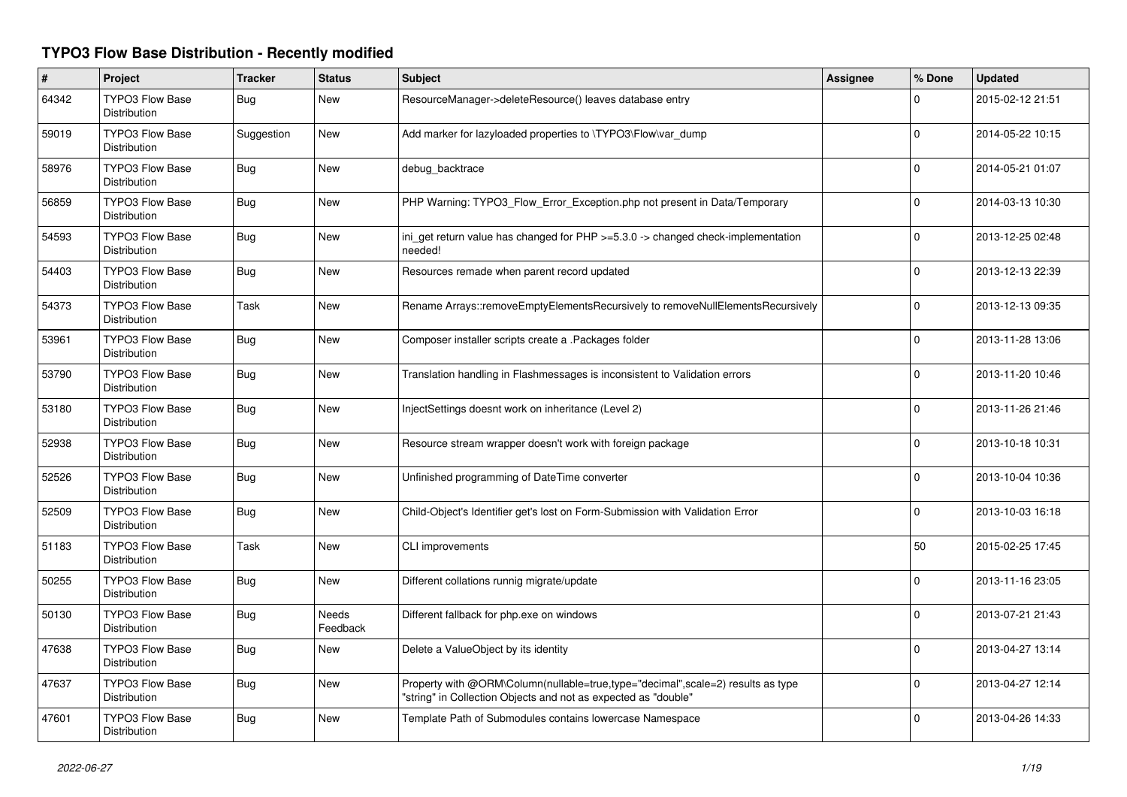## **TYPO3 Flow Base Distribution - Recently modified**

| $\#$  | Project                                       | <b>Tracker</b> | <b>Status</b>     | <b>Subject</b>                                                                                                                                    | Assignee | % Done       | <b>Updated</b>   |
|-------|-----------------------------------------------|----------------|-------------------|---------------------------------------------------------------------------------------------------------------------------------------------------|----------|--------------|------------------|
| 64342 | <b>TYPO3 Flow Base</b><br>Distribution        | Bug            | New               | ResourceManager->deleteResource() leaves database entry                                                                                           |          | $\Omega$     | 2015-02-12 21:51 |
| 59019 | <b>TYPO3 Flow Base</b><br><b>Distribution</b> | Suggestion     | New               | Add marker for lazyloaded properties to \TYPO3\Flow\var_dump                                                                                      |          | $\Omega$     | 2014-05-22 10:15 |
| 58976 | <b>TYPO3 Flow Base</b><br><b>Distribution</b> | Bug            | New               | debug backtrace                                                                                                                                   |          | $\Omega$     | 2014-05-21 01:07 |
| 56859 | <b>TYPO3 Flow Base</b><br>Distribution        | Bug            | <b>New</b>        | PHP Warning: TYPO3_Flow_Error_Exception.php not present in Data/Temporary                                                                         |          | $\Omega$     | 2014-03-13 10:30 |
| 54593 | TYPO3 Flow Base<br>Distribution               | Bug            | New               | ini_get return value has changed for PHP >=5.3.0 -> changed check-implementation<br>needed!                                                       |          | $\mathbf{0}$ | 2013-12-25 02:48 |
| 54403 | <b>TYPO3 Flow Base</b><br>Distribution        | Bug            | <b>New</b>        | Resources remade when parent record updated                                                                                                       |          | $\mathbf 0$  | 2013-12-13 22:39 |
| 54373 | <b>TYPO3 Flow Base</b><br>Distribution        | Task           | New               | Rename Arrays::removeEmptyElementsRecursively to removeNullElementsRecursively                                                                    |          | 0            | 2013-12-13 09:35 |
| 53961 | <b>TYPO3 Flow Base</b><br>Distribution        | Bug            | New               | Composer installer scripts create a .Packages folder                                                                                              |          | $\mathbf 0$  | 2013-11-28 13:06 |
| 53790 | <b>TYPO3 Flow Base</b><br><b>Distribution</b> | Bug            | <b>New</b>        | Translation handling in Flashmessages is inconsistent to Validation errors                                                                        |          | $\Omega$     | 2013-11-20 10:46 |
| 53180 | TYPO3 Flow Base<br>Distribution               | Bug            | <b>New</b>        | InjectSettings doesnt work on inheritance (Level 2)                                                                                               |          | 0            | 2013-11-26 21:46 |
| 52938 | <b>TYPO3 Flow Base</b><br>Distribution        | <b>Bug</b>     | New               | Resource stream wrapper doesn't work with foreign package                                                                                         |          | $\Omega$     | 2013-10-18 10:31 |
| 52526 | <b>TYPO3 Flow Base</b><br>Distribution        | Bug            | New               | Unfinished programming of DateTime converter                                                                                                      |          | $\Omega$     | 2013-10-04 10:36 |
| 52509 | TYPO3 Flow Base<br>Distribution               | Bug            | New               | Child-Object's Identifier get's lost on Form-Submission with Validation Error                                                                     |          | $\mathbf 0$  | 2013-10-03 16:18 |
| 51183 | <b>TYPO3 Flow Base</b><br>Distribution        | Task           | New               | <b>CLI</b> improvements                                                                                                                           |          | 50           | 2015-02-25 17:45 |
| 50255 | <b>TYPO3 Flow Base</b><br><b>Distribution</b> | Bug            | New               | Different collations runnig migrate/update                                                                                                        |          | $\Omega$     | 2013-11-16 23:05 |
| 50130 | <b>TYPO3 Flow Base</b><br><b>Distribution</b> | Bug            | Needs<br>Feedback | Different fallback for php.exe on windows                                                                                                         |          | $\Omega$     | 2013-07-21 21:43 |
| 47638 | <b>TYPO3 Flow Base</b><br><b>Distribution</b> | Bug            | New               | Delete a ValueObject by its identity                                                                                                              |          | $\Omega$     | 2013-04-27 13:14 |
| 47637 | <b>TYPO3 Flow Base</b><br>Distribution        | <b>Bug</b>     | New               | Property with @ORM\Column(nullable=true,type="decimal",scale=2) results as type<br>"string" in Collection Objects and not as expected as "double" |          | $\Omega$     | 2013-04-27 12:14 |
| 47601 | <b>TYPO3 Flow Base</b><br>Distribution        | Bug            | <b>New</b>        | Template Path of Submodules contains lowercase Namespace                                                                                          |          | $\Omega$     | 2013-04-26 14:33 |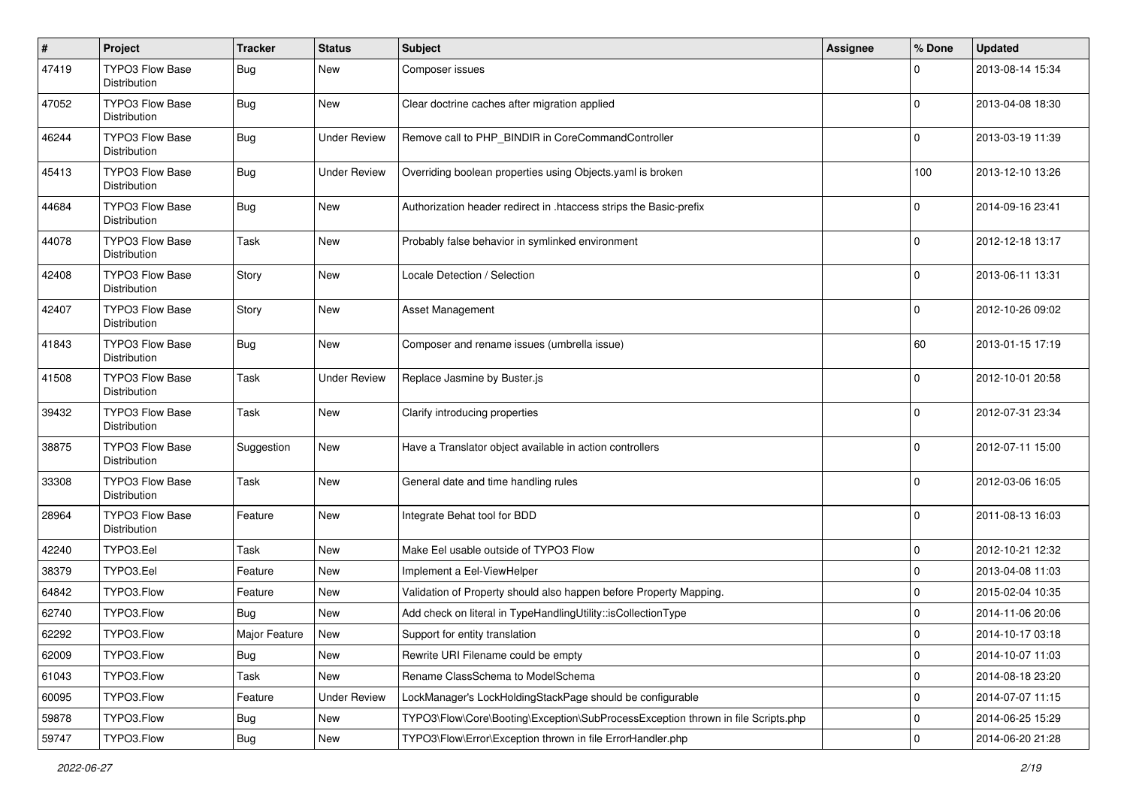| #     | Project                                | <b>Tracker</b> | <b>Status</b>       | <b>Subject</b>                                                                   | <b>Assignee</b> | % Done              | <b>Updated</b>   |
|-------|----------------------------------------|----------------|---------------------|----------------------------------------------------------------------------------|-----------------|---------------------|------------------|
| 47419 | TYPO3 Flow Base<br>Distribution        | <b>Bug</b>     | <b>New</b>          | Composer issues                                                                  |                 | 0                   | 2013-08-14 15:34 |
| 47052 | <b>TYPO3 Flow Base</b><br>Distribution | Bug            | <b>New</b>          | Clear doctrine caches after migration applied                                    |                 | 0                   | 2013-04-08 18:30 |
| 46244 | TYPO3 Flow Base<br>Distribution        | Bug            | <b>Under Review</b> | Remove call to PHP_BINDIR in CoreCommandController                               |                 | 0                   | 2013-03-19 11:39 |
| 45413 | <b>TYPO3 Flow Base</b><br>Distribution | <b>Bug</b>     | <b>Under Review</b> | Overriding boolean properties using Objects.yaml is broken                       |                 | 100                 | 2013-12-10 13:26 |
| 44684 | TYPO3 Flow Base<br>Distribution        | Bug            | <b>New</b>          | Authorization header redirect in .htaccess strips the Basic-prefix               |                 | 0                   | 2014-09-16 23:41 |
| 44078 | <b>TYPO3 Flow Base</b><br>Distribution | Task           | <b>New</b>          | Probably false behavior in symlinked environment                                 |                 | $\mathbf 0$         | 2012-12-18 13:17 |
| 42408 | TYPO3 Flow Base<br>Distribution        | Story          | <b>New</b>          | Locale Detection / Selection                                                     |                 | 0                   | 2013-06-11 13:31 |
| 42407 | <b>TYPO3 Flow Base</b><br>Distribution | Story          | <b>New</b>          | Asset Management                                                                 |                 | 0                   | 2012-10-26 09:02 |
| 41843 | <b>TYPO3 Flow Base</b><br>Distribution | Bug            | <b>New</b>          | Composer and rename issues (umbrella issue)                                      |                 | 60                  | 2013-01-15 17:19 |
| 41508 | <b>TYPO3 Flow Base</b><br>Distribution | Task           | <b>Under Review</b> | Replace Jasmine by Buster.js                                                     |                 | 0                   | 2012-10-01 20:58 |
| 39432 | <b>TYPO3 Flow Base</b><br>Distribution | Task           | <b>New</b>          | Clarify introducing properties                                                   |                 | $\mathbf 0$         | 2012-07-31 23:34 |
| 38875 | <b>TYPO3 Flow Base</b><br>Distribution | Suggestion     | <b>New</b>          | Have a Translator object available in action controllers                         |                 | $\Omega$            | 2012-07-11 15:00 |
| 33308 | <b>TYPO3 Flow Base</b><br>Distribution | Task           | <b>New</b>          | General date and time handling rules                                             |                 | 0                   | 2012-03-06 16:05 |
| 28964 | TYPO3 Flow Base<br>Distribution        | Feature        | <b>New</b>          | Integrate Behat tool for BDD                                                     |                 | 0                   | 2011-08-13 16:03 |
| 42240 | TYPO3.Eel                              | Task           | <b>New</b>          | Make Eel usable outside of TYPO3 Flow                                            |                 | 0                   | 2012-10-21 12:32 |
| 38379 | TYPO3.Eel                              | Feature        | <b>New</b>          | Implement a Eel-ViewHelper                                                       |                 | 0                   | 2013-04-08 11:03 |
| 64842 | TYPO3.Flow                             | Feature        | <b>New</b>          | Validation of Property should also happen before Property Mapping.               |                 | 0                   | 2015-02-04 10:35 |
| 62740 | TYPO3.Flow                             | Bug            | <b>New</b>          | Add check on literal in TypeHandlingUtility::isCollectionType                    |                 | $\mathbf 0$         | 2014-11-06 20:06 |
| 62292 | TYPO3.Flow                             | Major Feature  | <b>New</b>          | Support for entity translation                                                   |                 | 0                   | 2014-10-17 03:18 |
| 62009 | TYPO3.Flow                             | <b>Bug</b>     | New                 | Rewrite URI Filename could be empty                                              |                 | 0                   | 2014-10-07 11:03 |
| 61043 | TYPO3.Flow                             | Task           | New                 | Rename ClassSchema to ModelSchema                                                |                 | 0                   | 2014-08-18 23:20 |
| 60095 | TYPO3.Flow                             | Feature        | <b>Under Review</b> | LockManager's LockHoldingStackPage should be configurable                        |                 | 0                   | 2014-07-07 11:15 |
| 59878 | TYPO3.Flow                             | <b>Bug</b>     | New                 | TYPO3\Flow\Core\Booting\Exception\SubProcessException thrown in file Scripts.php |                 | $\mathsf{O}\xspace$ | 2014-06-25 15:29 |
| 59747 | TYPO3.Flow                             | Bug            | New                 | TYPO3\Flow\Error\Exception thrown in file ErrorHandler.php                       |                 | $\mathsf{O}\xspace$ | 2014-06-20 21:28 |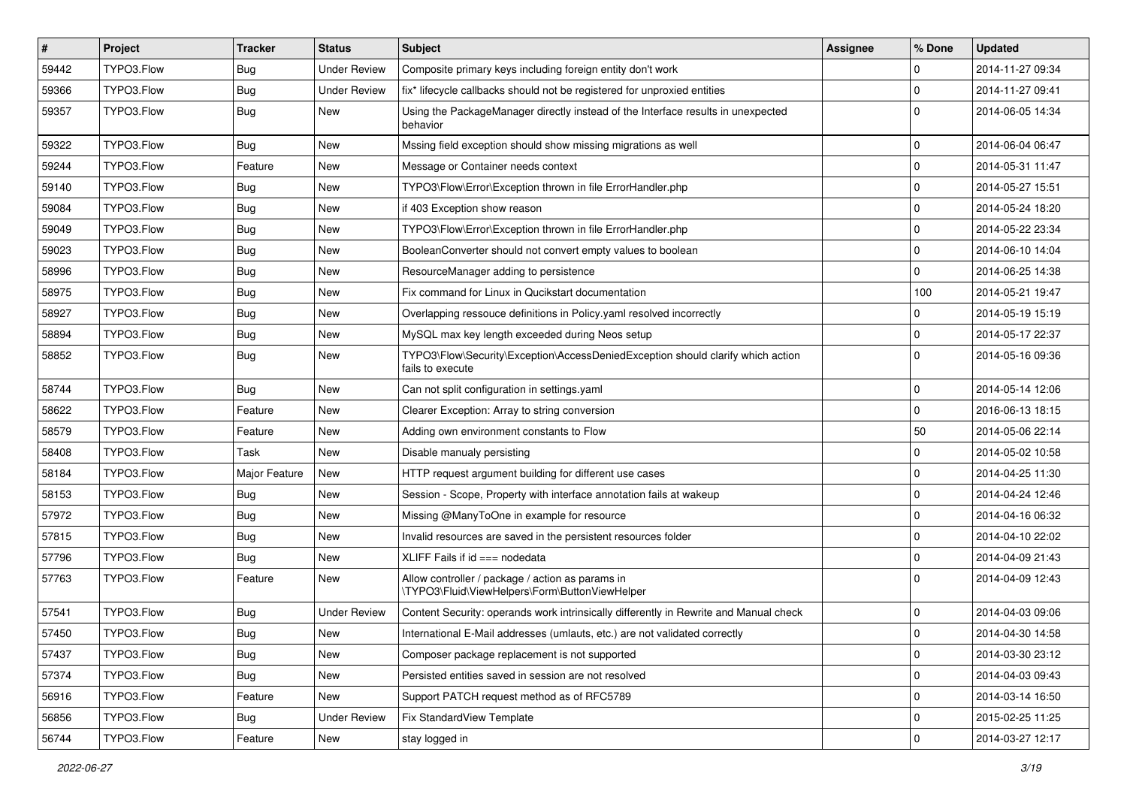| $\vert$ # | <b>Project</b> | <b>Tracker</b>   | <b>Status</b>       | Subject                                                                                             | Assignee | % Done      | <b>Updated</b>   |
|-----------|----------------|------------------|---------------------|-----------------------------------------------------------------------------------------------------|----------|-------------|------------------|
| 59442     | TYPO3.Flow     | <b>Bug</b>       | <b>Under Review</b> | Composite primary keys including foreign entity don't work                                          |          | $\Omega$    | 2014-11-27 09:34 |
| 59366     | TYPO3.Flow     | <b>Bug</b>       | <b>Under Review</b> | fix* lifecycle callbacks should not be registered for unproxied entities                            |          | $\mathbf 0$ | 2014-11-27 09:41 |
| 59357     | TYPO3.Flow     | Bug              | New                 | Using the PackageManager directly instead of the Interface results in unexpected<br>behavior        |          | $\Omega$    | 2014-06-05 14:34 |
| 59322     | TYPO3.Flow     | Bug              | <b>New</b>          | Mssing field exception should show missing migrations as well                                       |          | $\mathbf 0$ | 2014-06-04 06:47 |
| 59244     | TYPO3.Flow     | Feature          | New                 | Message or Container needs context                                                                  |          | $\mathbf 0$ | 2014-05-31 11:47 |
| 59140     | TYPO3.Flow     | <b>Bug</b>       | New                 | TYPO3\Flow\Error\Exception thrown in file ErrorHandler.php                                          |          | $\mathbf 0$ | 2014-05-27 15:51 |
| 59084     | TYPO3.Flow     | Bug              | New                 | if 403 Exception show reason                                                                        |          | $\mathbf 0$ | 2014-05-24 18:20 |
| 59049     | TYPO3.Flow     | <b>Bug</b>       | New                 | TYPO3\Flow\Error\Exception thrown in file ErrorHandler.php                                          |          | $\mathbf 0$ | 2014-05-22 23:34 |
| 59023     | TYPO3.Flow     | <b>Bug</b>       | <b>New</b>          | BooleanConverter should not convert empty values to boolean                                         |          | $\mathbf 0$ | 2014-06-10 14:04 |
| 58996     | TYPO3.Flow     | <b>Bug</b>       | <b>New</b>          | ResourceManager adding to persistence                                                               |          | $\mathbf 0$ | 2014-06-25 14:38 |
| 58975     | TYPO3.Flow     | <b>Bug</b>       | New                 | Fix command for Linux in Qucikstart documentation                                                   |          | 100         | 2014-05-21 19:47 |
| 58927     | TYPO3.Flow     | Bug              | New                 | Overlapping ressouce definitions in Policy yaml resolved incorrectly                                |          | $\mathbf 0$ | 2014-05-19 15:19 |
| 58894     | TYPO3.Flow     | Bug              | New                 | MySQL max key length exceeded during Neos setup                                                     |          | $\mathbf 0$ | 2014-05-17 22:37 |
| 58852     | TYPO3.Flow     | <b>Bug</b>       | New                 | TYPO3\Flow\Security\Exception\AccessDeniedException should clarify which action<br>fails to execute |          | $\Omega$    | 2014-05-16 09:36 |
| 58744     | TYPO3.Flow     | <b>Bug</b>       | New                 | Can not split configuration in settings.yaml                                                        |          | $\mathbf 0$ | 2014-05-14 12:06 |
| 58622     | TYPO3.Flow     | Feature          | New                 | Clearer Exception: Array to string conversion                                                       |          | $\Omega$    | 2016-06-13 18:15 |
| 58579     | TYPO3.Flow     | Feature          | New                 | Adding own environment constants to Flow                                                            |          | 50          | 2014-05-06 22:14 |
| 58408     | TYPO3.Flow     | Task             | New                 | Disable manualy persisting                                                                          |          | $\mathbf 0$ | 2014-05-02 10:58 |
| 58184     | TYPO3.Flow     | Major Feature    | New                 | HTTP request argument building for different use cases                                              |          | 0           | 2014-04-25 11:30 |
| 58153     | TYPO3.Flow     | <b>Bug</b>       | New                 | Session - Scope, Property with interface annotation fails at wakeup                                 |          | $\mathbf 0$ | 2014-04-24 12:46 |
| 57972     | TYPO3.Flow     | Bug              | New                 | Missing @ManyToOne in example for resource                                                          |          | $\mathbf 0$ | 2014-04-16 06:32 |
| 57815     | TYPO3.Flow     | <b>Bug</b>       | New                 | Invalid resources are saved in the persistent resources folder                                      |          | $\mathbf 0$ | 2014-04-10 22:02 |
| 57796     | TYPO3.Flow     | <b>Bug</b>       | New                 | XLIFF Fails if id === nodedata                                                                      |          | $\mathbf 0$ | 2014-04-09 21:43 |
| 57763     | TYPO3.Flow     | Feature          | New                 | Allow controller / package / action as params in<br>\TYPO3\Fluid\ViewHelpers\Form\ButtonViewHelper  |          | $\Omega$    | 2014-04-09 12:43 |
| 57541     | TYPO3.Flow     | <b>Bug</b>       | <b>Under Review</b> | Content Security: operands work intrinsically differently in Rewrite and Manual check               |          | $\mathbf 0$ | 2014-04-03 09:06 |
| 57450     | TYPO3.Flow     | <sub>I</sub> Bug | New                 | International E-Mail addresses (umlauts, etc.) are not validated correctly                          |          | I٥          | 2014-04-30 14:58 |
| 57437     | TYPO3.Flow     | <b>Bug</b>       | New                 | Composer package replacement is not supported                                                       |          | $\mathsf 0$ | 2014-03-30 23:12 |
| 57374     | TYPO3.Flow     | <b>Bug</b>       | New                 | Persisted entities saved in session are not resolved                                                |          | $\mathsf 0$ | 2014-04-03 09:43 |
| 56916     | TYPO3.Flow     | Feature          | New                 | Support PATCH request method as of RFC5789                                                          |          | $\mathsf 0$ | 2014-03-14 16:50 |
| 56856     | TYPO3.Flow     | <b>Bug</b>       | <b>Under Review</b> | Fix StandardView Template                                                                           |          | $\mathsf 0$ | 2015-02-25 11:25 |
| 56744     | TYPO3.Flow     | Feature          | New                 | stay logged in                                                                                      |          | 0           | 2014-03-27 12:17 |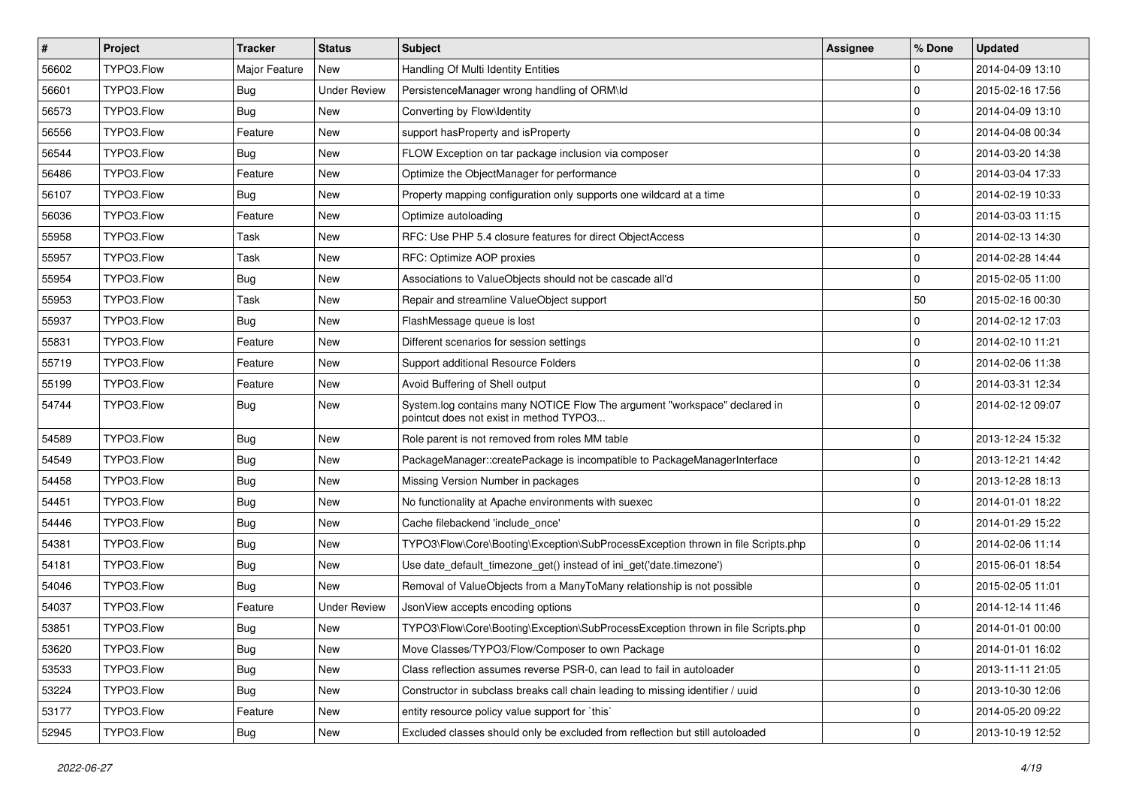| $\pmb{\#}$ | <b>Project</b> | <b>Tracker</b> | <b>Status</b>       | Subject                                                                                                              | <b>Assignee</b> | % Done              | <b>Updated</b>   |
|------------|----------------|----------------|---------------------|----------------------------------------------------------------------------------------------------------------------|-----------------|---------------------|------------------|
| 56602      | TYPO3.Flow     | Major Feature  | New                 | Handling Of Multi Identity Entities                                                                                  |                 | $\mathbf 0$         | 2014-04-09 13:10 |
| 56601      | TYPO3.Flow     | <b>Bug</b>     | <b>Under Review</b> | PersistenceManager wrong handling of ORM\ld                                                                          |                 | $\mathbf 0$         | 2015-02-16 17:56 |
| 56573      | TYPO3.Flow     | Bug            | New                 | Converting by Flow\Identity                                                                                          |                 | $\mathbf 0$         | 2014-04-09 13:10 |
| 56556      | TYPO3.Flow     | Feature        | New                 | support has Property and is Property                                                                                 |                 | $\mathbf 0$         | 2014-04-08 00:34 |
| 56544      | TYPO3.Flow     | Bug            | New                 | FLOW Exception on tar package inclusion via composer                                                                 |                 | $\mathbf 0$         | 2014-03-20 14:38 |
| 56486      | TYPO3.Flow     | Feature        | New                 | Optimize the ObjectManager for performance                                                                           |                 | $\mathbf 0$         | 2014-03-04 17:33 |
| 56107      | TYPO3.Flow     | <b>Bug</b>     | New                 | Property mapping configuration only supports one wildcard at a time                                                  |                 | $\mathbf 0$         | 2014-02-19 10:33 |
| 56036      | TYPO3.Flow     | Feature        | New                 | Optimize autoloading                                                                                                 |                 | $\mathbf 0$         | 2014-03-03 11:15 |
| 55958      | TYPO3.Flow     | Task           | New                 | RFC: Use PHP 5.4 closure features for direct ObjectAccess                                                            |                 | $\mathbf 0$         | 2014-02-13 14:30 |
| 55957      | TYPO3.Flow     | Task           | New                 | RFC: Optimize AOP proxies                                                                                            |                 | $\mathbf 0$         | 2014-02-28 14:44 |
| 55954      | TYPO3.Flow     | <b>Bug</b>     | New                 | Associations to ValueObjects should not be cascade all'd                                                             |                 | $\mathbf 0$         | 2015-02-05 11:00 |
| 55953      | TYPO3.Flow     | Task           | New                 | Repair and streamline ValueObject support                                                                            |                 | 50                  | 2015-02-16 00:30 |
| 55937      | TYPO3.Flow     | Bug            | New                 | FlashMessage queue is lost                                                                                           |                 | $\mathbf 0$         | 2014-02-12 17:03 |
| 55831      | TYPO3.Flow     | Feature        | New                 | Different scenarios for session settings                                                                             |                 | $\mathbf 0$         | 2014-02-10 11:21 |
| 55719      | TYPO3.Flow     | Feature        | New                 | Support additional Resource Folders                                                                                  |                 | $\mathbf 0$         | 2014-02-06 11:38 |
| 55199      | TYPO3.Flow     | Feature        | New                 | Avoid Buffering of Shell output                                                                                      |                 | $\mathbf 0$         | 2014-03-31 12:34 |
| 54744      | TYPO3.Flow     | <b>Bug</b>     | New                 | System.log contains many NOTICE Flow The argument "workspace" declared in<br>pointcut does not exist in method TYPO3 |                 | $\Omega$            | 2014-02-12 09:07 |
| 54589      | TYPO3.Flow     | <b>Bug</b>     | New                 | Role parent is not removed from roles MM table                                                                       |                 | $\mathbf 0$         | 2013-12-24 15:32 |
| 54549      | TYPO3.Flow     | <b>Bug</b>     | New                 | PackageManager::createPackage is incompatible to PackageManagerInterface                                             |                 | $\mathbf 0$         | 2013-12-21 14:42 |
| 54458      | TYPO3.Flow     | Bug            | New                 | Missing Version Number in packages                                                                                   |                 | $\mathbf 0$         | 2013-12-28 18:13 |
| 54451      | TYPO3.Flow     | <b>Bug</b>     | New                 | No functionality at Apache environments with suexec                                                                  |                 | $\mathbf 0$         | 2014-01-01 18:22 |
| 54446      | TYPO3.Flow     | <b>Bug</b>     | New                 | Cache filebackend 'include once'                                                                                     |                 | $\mathbf 0$         | 2014-01-29 15:22 |
| 54381      | TYPO3.Flow     | <b>Bug</b>     | New                 | TYPO3\Flow\Core\Booting\Exception\SubProcessException thrown in file Scripts.php                                     |                 | $\mathbf 0$         | 2014-02-06 11:14 |
| 54181      | TYPO3.Flow     | <b>Bug</b>     | New                 | Use date_default_timezone_get() instead of ini_get('date.timezone')                                                  |                 | $\mathbf 0$         | 2015-06-01 18:54 |
| 54046      | TYPO3.Flow     | <b>Bug</b>     | <b>New</b>          | Removal of ValueObjects from a ManyToMany relationship is not possible                                               |                 | $\mathbf 0$         | 2015-02-05 11:01 |
| 54037      | TYPO3.Flow     | Feature        | <b>Under Review</b> | JsonView accepts encoding options                                                                                    |                 | $\mathbf 0$         | 2014-12-14 11:46 |
| 53851      | TYPO3.Flow     | Bug            | New                 | TYPO3\Flow\Core\Booting\Exception\SubProcessException thrown in file Scripts.php                                     |                 | $\mathbf 0$         | 2014-01-01 00:00 |
| 53620      | TYPO3.Flow     | Bug            | New                 | Move Classes/TYPO3/Flow/Composer to own Package                                                                      |                 | 0                   | 2014-01-01 16:02 |
| 53533      | TYPO3.Flow     | <b>Bug</b>     | New                 | Class reflection assumes reverse PSR-0, can lead to fail in autoloader                                               |                 | $\mathsf 0$         | 2013-11-11 21:05 |
| 53224      | TYPO3.Flow     | <b>Bug</b>     | New                 | Constructor in subclass breaks call chain leading to missing identifier / uuid                                       |                 | 0                   | 2013-10-30 12:06 |
| 53177      | TYPO3.Flow     | Feature        | New                 | entity resource policy value support for `this`                                                                      |                 | $\mathsf 0$         | 2014-05-20 09:22 |
| 52945      | TYPO3.Flow     | Bug            | New                 | Excluded classes should only be excluded from reflection but still autoloaded                                        |                 | $\mathsf{O}\xspace$ | 2013-10-19 12:52 |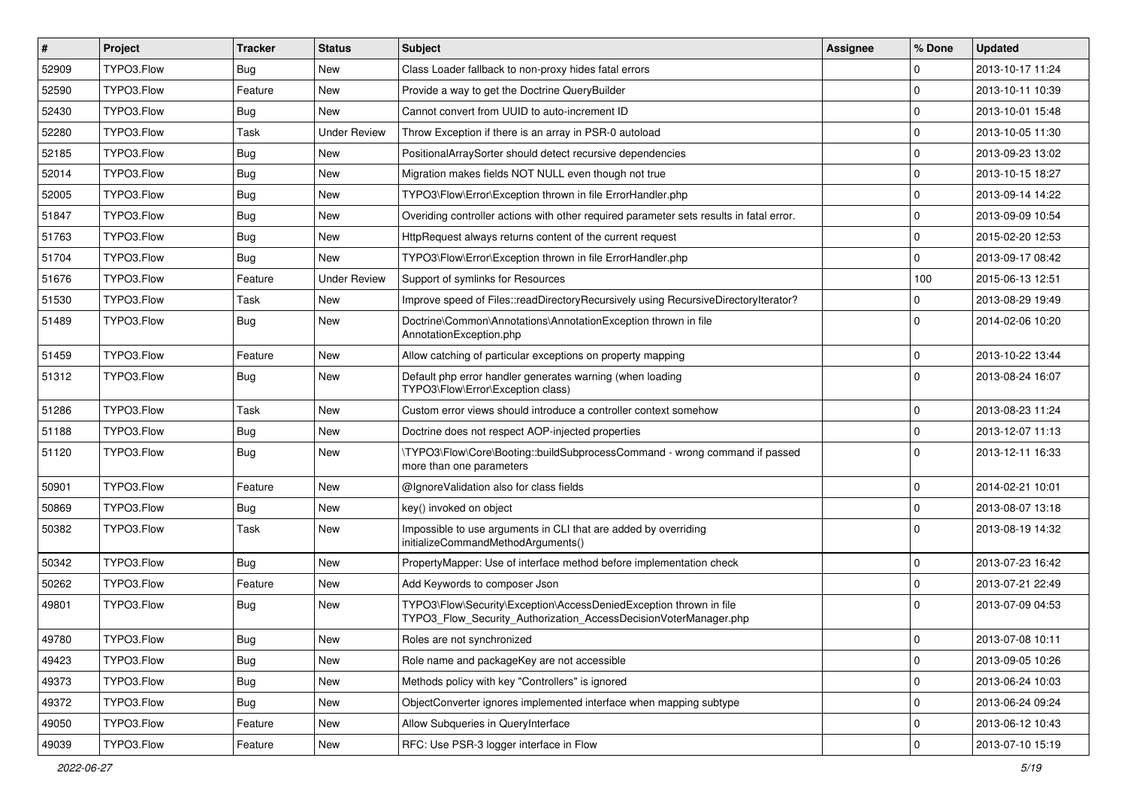| $\vert$ # | Project    | <b>Tracker</b> | <b>Status</b>       | <b>Subject</b>                                                                                                                         | <b>Assignee</b> | % Done      | <b>Updated</b>   |
|-----------|------------|----------------|---------------------|----------------------------------------------------------------------------------------------------------------------------------------|-----------------|-------------|------------------|
| 52909     | TYPO3.Flow | <b>Bug</b>     | New                 | Class Loader fallback to non-proxy hides fatal errors                                                                                  |                 | $\mathbf 0$ | 2013-10-17 11:24 |
| 52590     | TYPO3.Flow | Feature        | <b>New</b>          | Provide a way to get the Doctrine QueryBuilder                                                                                         |                 | $\mathbf 0$ | 2013-10-11 10:39 |
| 52430     | TYPO3.Flow | Bug            | New                 | Cannot convert from UUID to auto-increment ID                                                                                          |                 | $\mathbf 0$ | 2013-10-01 15:48 |
| 52280     | TYPO3.Flow | Task           | <b>Under Review</b> | Throw Exception if there is an array in PSR-0 autoload                                                                                 |                 | $\mathbf 0$ | 2013-10-05 11:30 |
| 52185     | TYPO3.Flow | Bug            | <b>New</b>          | PositionalArraySorter should detect recursive dependencies                                                                             |                 | $\mathbf 0$ | 2013-09-23 13:02 |
| 52014     | TYPO3.Flow | <b>Bug</b>     | <b>New</b>          | Migration makes fields NOT NULL even though not true                                                                                   |                 | $\mathbf 0$ | 2013-10-15 18:27 |
| 52005     | TYPO3.Flow | <b>Bug</b>     | New                 | TYPO3\Flow\Error\Exception thrown in file ErrorHandler.php                                                                             |                 | $\mathbf 0$ | 2013-09-14 14:22 |
| 51847     | TYPO3.Flow | Bug            | New                 | Overiding controller actions with other required parameter sets results in fatal error.                                                |                 | $\mathbf 0$ | 2013-09-09 10:54 |
| 51763     | TYPO3.Flow | Bug            | New                 | HttpRequest always returns content of the current request                                                                              |                 | $\mathbf 0$ | 2015-02-20 12:53 |
| 51704     | TYPO3.Flow | <b>Bug</b>     | New                 | TYPO3\Flow\Error\Exception thrown in file ErrorHandler.php                                                                             |                 | $\mathbf 0$ | 2013-09-17 08:42 |
| 51676     | TYPO3.Flow | Feature        | <b>Under Review</b> | Support of symlinks for Resources                                                                                                      |                 | 100         | 2015-06-13 12:51 |
| 51530     | TYPO3.Flow | Task           | New                 | Improve speed of Files::readDirectoryRecursively using RecursiveDirectoryIterator?                                                     |                 | $\mathbf 0$ | 2013-08-29 19:49 |
| 51489     | TYPO3.Flow | Bug            | <b>New</b>          | Doctrine\Common\Annotations\AnnotationException thrown in file<br>AnnotationException.php                                              |                 | $\Omega$    | 2014-02-06 10:20 |
| 51459     | TYPO3.Flow | Feature        | <b>New</b>          | Allow catching of particular exceptions on property mapping                                                                            |                 | $\mathbf 0$ | 2013-10-22 13:44 |
| 51312     | TYPO3.Flow | Bug            | New                 | Default php error handler generates warning (when loading<br>TYPO3\Flow\Error\Exception class)                                         |                 | $\Omega$    | 2013-08-24 16:07 |
| 51286     | TYPO3.Flow | Task           | <b>New</b>          | Custom error views should introduce a controller context somehow                                                                       |                 | $\mathbf 0$ | 2013-08-23 11:24 |
| 51188     | TYPO3.Flow | Bug            | New                 | Doctrine does not respect AOP-injected properties                                                                                      |                 | $\mathbf 0$ | 2013-12-07 11:13 |
| 51120     | TYPO3.Flow | <b>Bug</b>     | New                 | \TYPO3\Flow\Core\Booting::buildSubprocessCommand - wrong command if passed<br>more than one parameters                                 |                 | $\Omega$    | 2013-12-11 16:33 |
| 50901     | TYPO3.Flow | Feature        | New                 | @IgnoreValidation also for class fields                                                                                                |                 | $\mathbf 0$ | 2014-02-21 10:01 |
| 50869     | TYPO3.Flow | <b>Bug</b>     | New                 | key() invoked on object                                                                                                                |                 | $\mathbf 0$ | 2013-08-07 13:18 |
| 50382     | TYPO3.Flow | Task           | New                 | Impossible to use arguments in CLI that are added by overriding<br>initializeCommandMethodArguments()                                  |                 | $\Omega$    | 2013-08-19 14:32 |
| 50342     | TYPO3.Flow | <b>Bug</b>     | <b>New</b>          | PropertyMapper: Use of interface method before implementation check                                                                    |                 | $\mathbf 0$ | 2013-07-23 16:42 |
| 50262     | TYPO3.Flow | Feature        | New                 | Add Keywords to composer Json                                                                                                          |                 | $\mathbf 0$ | 2013-07-21 22:49 |
| 49801     | TYPO3.Flow | <b>Bug</b>     | New                 | TYPO3\Flow\Security\Exception\AccessDeniedException thrown in file<br>TYPO3 Flow Security Authorization AccessDecisionVoterManager.php |                 | $\Omega$    | 2013-07-09 04:53 |
| 49780     | TYPO3.Flow | Bug            | New                 | Roles are not synchronized                                                                                                             |                 | 0           | 2013-07-08 10:11 |
| 49423     | TYPO3.Flow | <b>Bug</b>     | New                 | Role name and packageKey are not accessible                                                                                            |                 | $\mathsf 0$ | 2013-09-05 10:26 |
| 49373     | TYPO3.Flow | <b>Bug</b>     | New                 | Methods policy with key "Controllers" is ignored                                                                                       |                 | $\mathbf 0$ | 2013-06-24 10:03 |
| 49372     | TYPO3.Flow | <b>Bug</b>     | New                 | ObjectConverter ignores implemented interface when mapping subtype                                                                     |                 | $\pmb{0}$   | 2013-06-24 09:24 |
| 49050     | TYPO3.Flow | Feature        | New                 | Allow Subqueries in QueryInterface                                                                                                     |                 | $\mathbf 0$ | 2013-06-12 10:43 |
| 49039     | TYPO3.Flow | Feature        | New                 | RFC: Use PSR-3 logger interface in Flow                                                                                                |                 | 0           | 2013-07-10 15:19 |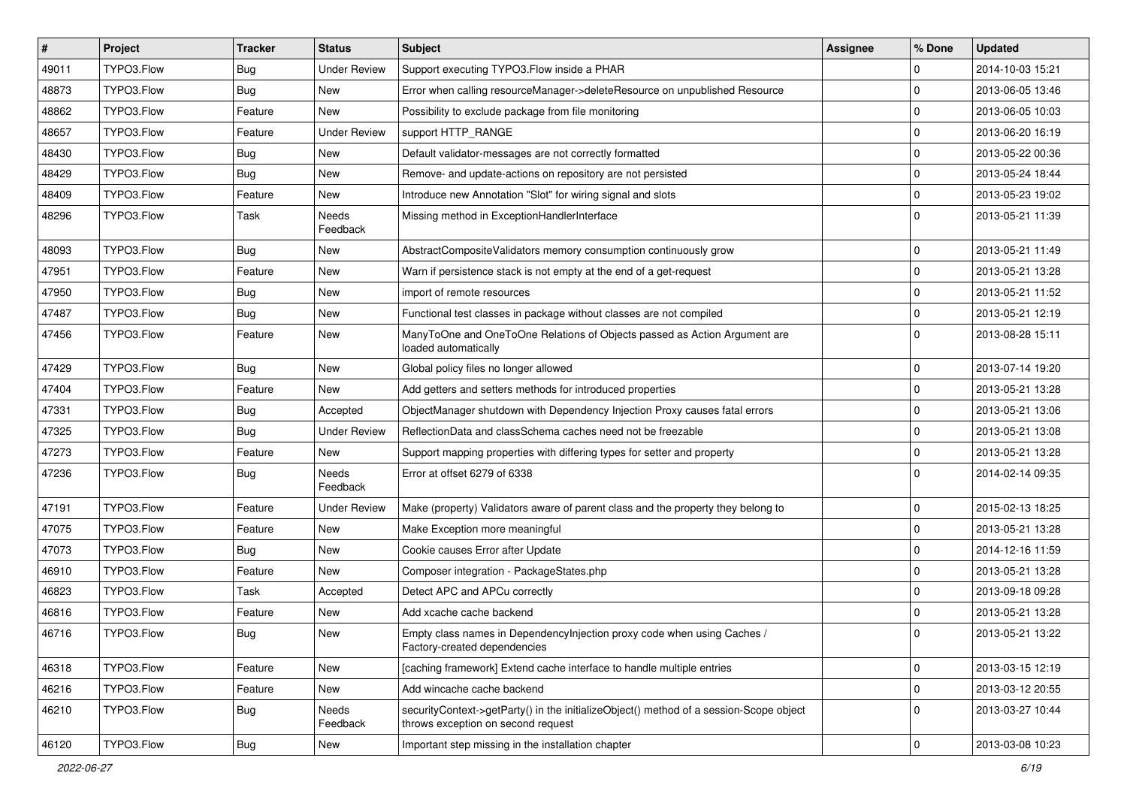| $\pmb{\#}$ | Project    | <b>Tracker</b> | <b>Status</b>            | Subject                                                                                                                      | <b>Assignee</b> | % Done         | <b>Updated</b>   |
|------------|------------|----------------|--------------------------|------------------------------------------------------------------------------------------------------------------------------|-----------------|----------------|------------------|
| 49011      | TYPO3.Flow | Bug            | <b>Under Review</b>      | Support executing TYPO3.Flow inside a PHAR                                                                                   |                 | $\Omega$       | 2014-10-03 15:21 |
| 48873      | TYPO3.Flow | <b>Bug</b>     | <b>New</b>               | Error when calling resourceManager->deleteResource on unpublished Resource                                                   |                 | $\Omega$       | 2013-06-05 13:46 |
| 48862      | TYPO3.Flow | Feature        | <b>New</b>               | Possibility to exclude package from file monitoring                                                                          |                 | l 0            | 2013-06-05 10:03 |
| 48657      | TYPO3.Flow | Feature        | <b>Under Review</b>      | support HTTP_RANGE                                                                                                           |                 | $\mathbf 0$    | 2013-06-20 16:19 |
| 48430      | TYPO3.Flow | <b>Bug</b>     | New                      | Default validator-messages are not correctly formatted                                                                       |                 | l 0            | 2013-05-22 00:36 |
| 48429      | TYPO3.Flow | <b>Bug</b>     | New                      | Remove- and update-actions on repository are not persisted                                                                   |                 | $\mathbf 0$    | 2013-05-24 18:44 |
| 48409      | TYPO3.Flow | Feature        | <b>New</b>               | Introduce new Annotation "Slot" for wiring signal and slots                                                                  |                 | $\overline{0}$ | 2013-05-23 19:02 |
| 48296      | TYPO3.Flow | Task           | Needs<br>Feedback        | Missing method in ExceptionHandlerInterface                                                                                  |                 | l 0            | 2013-05-21 11:39 |
| 48093      | TYPO3.Flow | <b>Bug</b>     | <b>New</b>               | AbstractCompositeValidators memory consumption continuously grow                                                             |                 | $\mathbf 0$    | 2013-05-21 11:49 |
| 47951      | TYPO3.Flow | Feature        | New                      | Warn if persistence stack is not empty at the end of a get-request                                                           |                 | 0              | 2013-05-21 13:28 |
| 47950      | TYPO3.Flow | Bug            | New                      | import of remote resources                                                                                                   |                 | $\mathbf 0$    | 2013-05-21 11:52 |
| 47487      | TYPO3.Flow | <b>Bug</b>     | New                      | Functional test classes in package without classes are not compiled                                                          |                 | 0              | 2013-05-21 12:19 |
| 47456      | TYPO3.Flow | Feature        | New                      | ManyToOne and OneToOne Relations of Objects passed as Action Argument are<br>loaded automatically                            |                 | $\Omega$       | 2013-08-28 15:11 |
| 47429      | TYPO3.Flow | Bug            | New                      | Global policy files no longer allowed                                                                                        |                 | $\mathbf 0$    | 2013-07-14 19:20 |
| 47404      | TYPO3.Flow | Feature        | New                      | Add getters and setters methods for introduced properties                                                                    |                 | $\Omega$       | 2013-05-21 13:28 |
| 47331      | TYPO3.Flow | Bug            | Accepted                 | ObjectManager shutdown with Dependency Injection Proxy causes fatal errors                                                   |                 | $\mathbf 0$    | 2013-05-21 13:06 |
| 47325      | TYPO3.Flow | <b>Bug</b>     | <b>Under Review</b>      | ReflectionData and classSchema caches need not be freezable                                                                  |                 | $\overline{0}$ | 2013-05-21 13:08 |
| 47273      | TYPO3.Flow | Feature        | New                      | Support mapping properties with differing types for setter and property                                                      |                 | $\overline{0}$ | 2013-05-21 13:28 |
| 47236      | TYPO3.Flow | <b>Bug</b>     | <b>Needs</b><br>Feedback | Error at offset 6279 of 6338                                                                                                 |                 | l 0            | 2014-02-14 09:35 |
| 47191      | TYPO3.Flow | Feature        | <b>Under Review</b>      | Make (property) Validators aware of parent class and the property they belong to                                             |                 | $\mathbf 0$    | 2015-02-13 18:25 |
| 47075      | TYPO3.Flow | Feature        | New                      | Make Exception more meaningful                                                                                               |                 | 0              | 2013-05-21 13:28 |
| 47073      | TYPO3.Flow | <b>Bug</b>     | <b>New</b>               | Cookie causes Error after Update                                                                                             |                 | $\mathbf 0$    | 2014-12-16 11:59 |
| 46910      | TYPO3.Flow | Feature        | New                      | Composer integration - PackageStates.php                                                                                     |                 | l 0            | 2013-05-21 13:28 |
| 46823      | TYPO3.Flow | Task           | Accepted                 | Detect APC and APCu correctly                                                                                                |                 | $\Omega$       | 2013-09-18 09:28 |
| 46816      | TYPO3.Flow | Feature        | New                      | Add xcache cache backend                                                                                                     |                 | $\Omega$       | 2013-05-21 13:28 |
| 46716      | TYPO3.Flow | Bug            | New                      | Empty class names in DependencyInjection proxy code when using Caches /<br>Factory-created dependencies                      |                 | 0              | 2013-05-21 13:22 |
| 46318      | TYPO3.Flow | Feature        | New                      | [caching framework] Extend cache interface to handle multiple entries                                                        |                 | 0              | 2013-03-15 12:19 |
| 46216      | TYPO3.Flow | Feature        | New                      | Add wincache cache backend                                                                                                   |                 | 0              | 2013-03-12 20:55 |
| 46210      | TYPO3.Flow | Bug            | Needs<br>Feedback        | securityContext->getParty() in the initializeObject() method of a session-Scope object<br>throws exception on second request |                 | 0              | 2013-03-27 10:44 |
| 46120      | TYPO3.Flow | Bug            | New                      | Important step missing in the installation chapter                                                                           |                 | 0              | 2013-03-08 10:23 |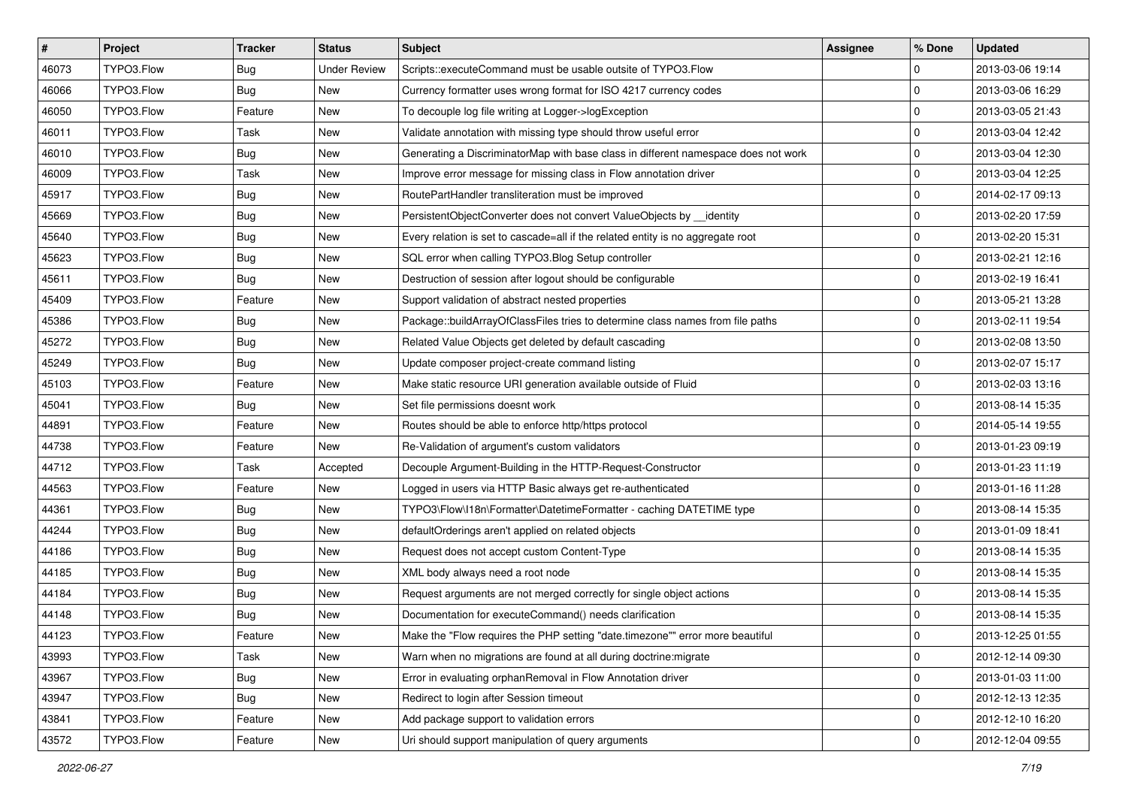| $\sharp$ | Project    | <b>Tracker</b> | <b>Status</b>       | Subject                                                                            | Assignee | % Done              | <b>Updated</b>   |
|----------|------------|----------------|---------------------|------------------------------------------------------------------------------------|----------|---------------------|------------------|
| 46073    | TYPO3.Flow | Bug            | <b>Under Review</b> | Scripts::executeCommand must be usable outsite of TYPO3.Flow                       |          | 0                   | 2013-03-06 19:14 |
| 46066    | TYPO3.Flow | Bug            | <b>New</b>          | Currency formatter uses wrong format for ISO 4217 currency codes                   |          | 0                   | 2013-03-06 16:29 |
| 46050    | TYPO3.Flow | Feature        | New                 | To decouple log file writing at Logger->logException                               |          | 0                   | 2013-03-05 21:43 |
| 46011    | TYPO3.Flow | Task           | New                 | Validate annotation with missing type should throw useful error                    |          | $\mathbf 0$         | 2013-03-04 12:42 |
| 46010    | TYPO3.Flow | Bug            | New                 | Generating a DiscriminatorMap with base class in different namespace does not work |          | 0                   | 2013-03-04 12:30 |
| 46009    | TYPO3.Flow | Task           | New                 | Improve error message for missing class in Flow annotation driver                  |          | 0                   | 2013-03-04 12:25 |
| 45917    | TYPO3.Flow | Bug            | New                 | RoutePartHandler transliteration must be improved                                  |          | 0                   | 2014-02-17 09:13 |
| 45669    | TYPO3.Flow | Bug            | New                 | PersistentObjectConverter does not convert ValueObjects by __identity              |          | 0                   | 2013-02-20 17:59 |
| 45640    | TYPO3.Flow | Bug            | New                 | Every relation is set to cascade=all if the related entity is no aggregate root    |          | 0                   | 2013-02-20 15:31 |
| 45623    | TYPO3.Flow | <b>Bug</b>     | New                 | SQL error when calling TYPO3.Blog Setup controller                                 |          | 0                   | 2013-02-21 12:16 |
| 45611    | TYPO3.Flow | <b>Bug</b>     | New                 | Destruction of session after logout should be configurable                         |          | 0                   | 2013-02-19 16:41 |
| 45409    | TYPO3.Flow | Feature        | New                 | Support validation of abstract nested properties                                   |          | 0                   | 2013-05-21 13:28 |
| 45386    | TYPO3.Flow | Bug            | New                 | Package::buildArrayOfClassFiles tries to determine class names from file paths     |          | $\mathbf 0$         | 2013-02-11 19:54 |
| 45272    | TYPO3.Flow | Bug            | New                 | Related Value Objects get deleted by default cascading                             |          | 0                   | 2013-02-08 13:50 |
| 45249    | TYPO3.Flow | <b>Bug</b>     | New                 | Update composer project-create command listing                                     |          | 0                   | 2013-02-07 15:17 |
| 45103    | TYPO3.Flow | Feature        | New                 | Make static resource URI generation available outside of Fluid                     |          | 0                   | 2013-02-03 13:16 |
| 45041    | TYPO3.Flow | Bug            | New                 | Set file permissions doesnt work                                                   |          | 0                   | 2013-08-14 15:35 |
| 44891    | TYPO3.Flow | Feature        | New                 | Routes should be able to enforce http/https protocol                               |          | $\mathbf 0$         | 2014-05-14 19:55 |
| 44738    | TYPO3.Flow | Feature        | New                 | Re-Validation of argument's custom validators                                      |          | $\mathbf 0$         | 2013-01-23 09:19 |
| 44712    | TYPO3.Flow | Task           | Accepted            | Decouple Argument-Building in the HTTP-Request-Constructor                         |          | $\mathbf 0$         | 2013-01-23 11:19 |
| 44563    | TYPO3.Flow | Feature        | New                 | Logged in users via HTTP Basic always get re-authenticated                         |          | 0                   | 2013-01-16 11:28 |
| 44361    | TYPO3.Flow | Bug            | New                 | TYPO3\Flow\I18n\Formatter\DatetimeFormatter - caching DATETIME type                |          | 0                   | 2013-08-14 15:35 |
| 44244    | TYPO3.Flow | <b>Bug</b>     | <b>New</b>          | defaultOrderings aren't applied on related objects                                 |          | 0                   | 2013-01-09 18:41 |
| 44186    | TYPO3.Flow | Bug            | New                 | Request does not accept custom Content-Type                                        |          | 0                   | 2013-08-14 15:35 |
| 44185    | TYPO3.Flow | Bug            | New                 | XML body always need a root node                                                   |          | 0                   | 2013-08-14 15:35 |
| 44184    | TYPO3.Flow | Bug            | New                 | Request arguments are not merged correctly for single object actions               |          | 0                   | 2013-08-14 15:35 |
| 44148    | TYPO3.Flow | <b>Bug</b>     | New                 | Documentation for executeCommand() needs clarification                             |          | $\mathbf 0$         | 2013-08-14 15:35 |
| 44123    | TYPO3.Flow | Feature        | New                 | Make the "Flow requires the PHP setting "date.timezone"" error more beautiful      |          | 0                   | 2013-12-25 01:55 |
| 43993    | TYPO3.Flow | Task           | New                 | Warn when no migrations are found at all during doctrine: migrate                  |          | 0                   | 2012-12-14 09:30 |
| 43967    | TYPO3.Flow | Bug            | New                 | Error in evaluating orphanRemoval in Flow Annotation driver                        |          | $\mathbf 0$         | 2013-01-03 11:00 |
| 43947    | TYPO3.Flow | Bug            | New                 | Redirect to login after Session timeout                                            |          | 0                   | 2012-12-13 12:35 |
| 43841    | TYPO3.Flow | Feature        | New                 | Add package support to validation errors                                           |          | 0                   | 2012-12-10 16:20 |
| 43572    | TYPO3.Flow | Feature        | New                 | Uri should support manipulation of query arguments                                 |          | $\mathsf{O}\xspace$ | 2012-12-04 09:55 |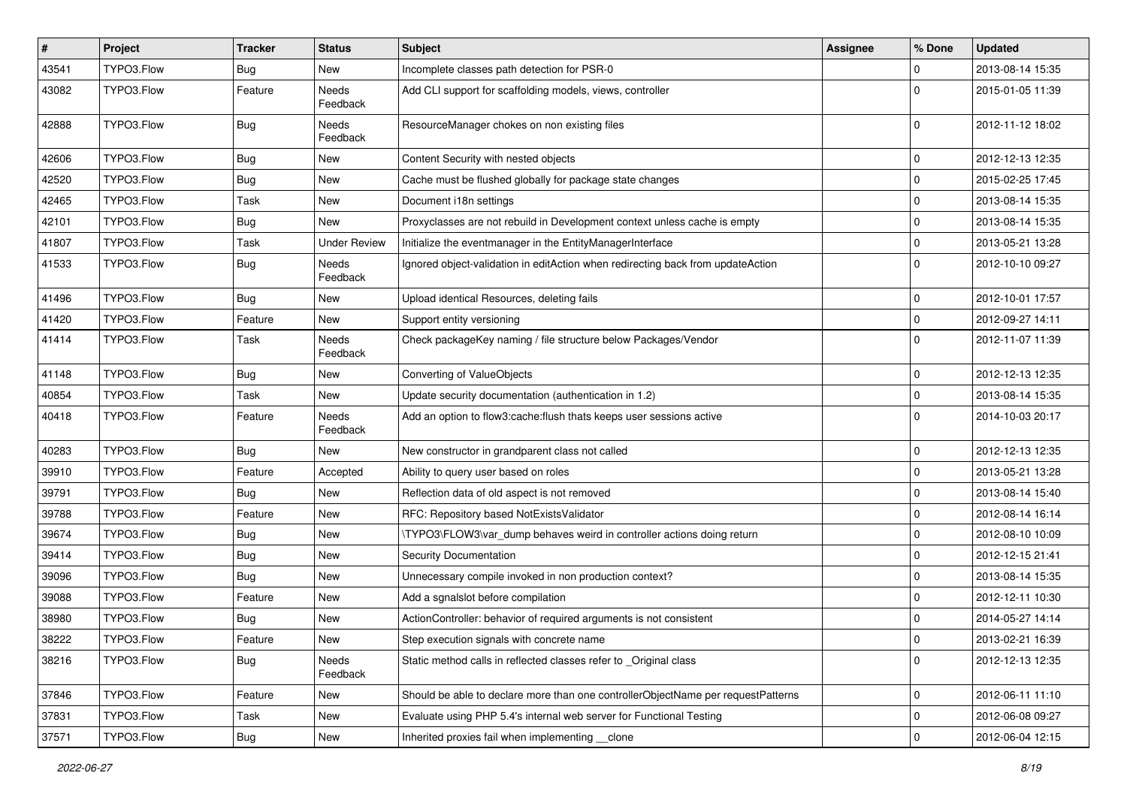| $\vert$ # | Project    | <b>Tracker</b> | <b>Status</b>            | Subject                                                                          | Assignee | % Done       | <b>Updated</b>   |
|-----------|------------|----------------|--------------------------|----------------------------------------------------------------------------------|----------|--------------|------------------|
| 43541     | TYPO3.Flow | Bug            | New                      | Incomplete classes path detection for PSR-0                                      |          | 0            | 2013-08-14 15:35 |
| 43082     | TYPO3.Flow | Feature        | Needs<br>Feedback        | Add CLI support for scaffolding models, views, controller                        |          | $\Omega$     | 2015-01-05 11:39 |
| 42888     | TYPO3.Flow | Bug            | Needs<br>Feedback        | ResourceManager chokes on non existing files                                     |          | $\Omega$     | 2012-11-12 18:02 |
| 42606     | TYPO3.Flow | <b>Bug</b>     | New                      | Content Security with nested objects                                             |          | 0            | 2012-12-13 12:35 |
| 42520     | TYPO3.Flow | <b>Bug</b>     | New                      | Cache must be flushed globally for package state changes                         |          | 0            | 2015-02-25 17:45 |
| 42465     | TYPO3.Flow | Task           | New                      | Document i18n settings                                                           |          | 0            | 2013-08-14 15:35 |
| 42101     | TYPO3.Flow | Bug            | New                      | Proxyclasses are not rebuild in Development context unless cache is empty        |          | $\mathbf 0$  | 2013-08-14 15:35 |
| 41807     | TYPO3.Flow | Task           | <b>Under Review</b>      | Initialize the eventmanager in the EntityManagerInterface                        |          | 0            | 2013-05-21 13:28 |
| 41533     | TYPO3.Flow | Bug            | Needs<br>Feedback        | Ignored object-validation in editAction when redirecting back from updateAction  |          | $\Omega$     | 2012-10-10 09:27 |
| 41496     | TYPO3.Flow | Bug            | New                      | Upload identical Resources, deleting fails                                       |          | 0            | 2012-10-01 17:57 |
| 41420     | TYPO3.Flow | Feature        | New                      | Support entity versioning                                                        |          | $\mathbf 0$  | 2012-09-27 14:11 |
| 41414     | TYPO3.Flow | Task           | <b>Needs</b><br>Feedback | Check packageKey naming / file structure below Packages/Vendor                   |          | $\Omega$     | 2012-11-07 11:39 |
| 41148     | TYPO3.Flow | Bug            | New                      | Converting of ValueObjects                                                       |          | $\mathbf 0$  | 2012-12-13 12:35 |
| 40854     | TYPO3.Flow | Task           | New                      | Update security documentation (authentication in 1.2)                            |          | 0            | 2013-08-14 15:35 |
| 40418     | TYPO3.Flow | Feature        | Needs<br>Feedback        | Add an option to flow3:cache:flush thats keeps user sessions active              |          | $\Omega$     | 2014-10-03 20:17 |
| 40283     | TYPO3.Flow | Bug            | New                      | New constructor in grandparent class not called                                  |          | 0            | 2012-12-13 12:35 |
| 39910     | TYPO3.Flow | Feature        | Accepted                 | Ability to query user based on roles                                             |          | $\mathbf 0$  | 2013-05-21 13:28 |
| 39791     | TYPO3.Flow | <b>Bug</b>     | New                      | Reflection data of old aspect is not removed                                     |          | 0            | 2013-08-14 15:40 |
| 39788     | TYPO3.Flow | Feature        | New                      | RFC: Repository based NotExistsValidator                                         |          | 0            | 2012-08-14 16:14 |
| 39674     | TYPO3.Flow | Bug            | New                      | \TYPO3\FLOW3\var dump behaves weird in controller actions doing return           |          | 0            | 2012-08-10 10:09 |
| 39414     | TYPO3.Flow | <b>Bug</b>     | New                      | Security Documentation                                                           |          | 0            | 2012-12-15 21:41 |
| 39096     | TYPO3.Flow | Bug            | New                      | Unnecessary compile invoked in non production context?                           |          | 0            | 2013-08-14 15:35 |
| 39088     | TYPO3.Flow | Feature        | New                      | Add a sgnalslot before compilation                                               |          | 0            | 2012-12-11 10:30 |
| 38980     | TYPO3.Flow | Bug            | New                      | ActionController: behavior of required arguments is not consistent               |          | $\mathbf 0$  | 2014-05-27 14:14 |
| 38222     | TYPO3.Flow | Feature        | New                      | Step execution signals with concrete name                                        |          | $\mathbf{0}$ | 2013-02-21 16:39 |
| 38216     | TYPO3.Flow | <b>Bug</b>     | Needs<br>Feedback        | Static method calls in reflected classes refer to _Original class                |          | $\Omega$     | 2012-12-13 12:35 |
| 37846     | TYPO3.Flow | Feature        | New                      | Should be able to declare more than one controllerObjectName per requestPatterns |          | 0            | 2012-06-11 11:10 |
| 37831     | TYPO3.Flow | Task           | New                      | Evaluate using PHP 5.4's internal web server for Functional Testing              |          | 0            | 2012-06-08 09:27 |
| 37571     | TYPO3.Flow | Bug            | New                      | Inherited proxies fail when implementing __clone                                 |          | $\pmb{0}$    | 2012-06-04 12:15 |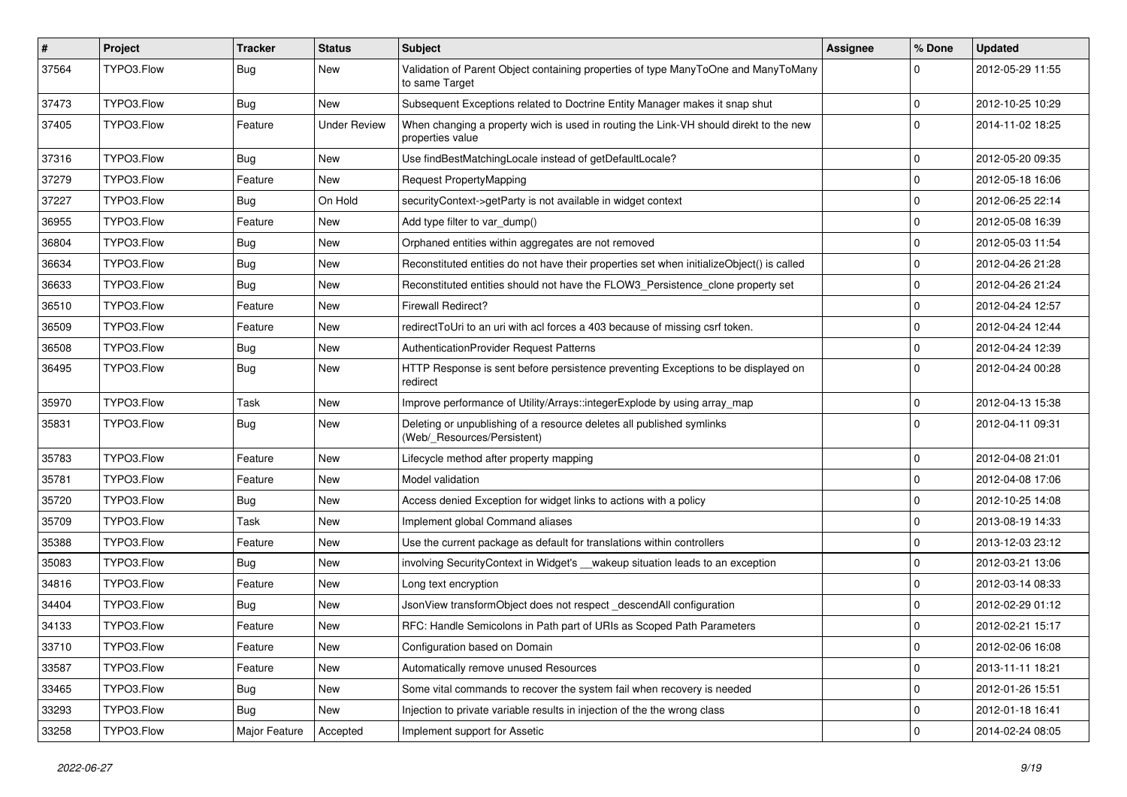| $\sharp$ | Project    | <b>Tracker</b> | <b>Status</b>       | Subject                                                                                                   | <b>Assignee</b> | % Done      | <b>Updated</b>   |
|----------|------------|----------------|---------------------|-----------------------------------------------------------------------------------------------------------|-----------------|-------------|------------------|
| 37564    | TYPO3.Flow | Bug            | New                 | Validation of Parent Object containing properties of type ManyToOne and ManyToMany<br>to same Target      |                 | $\Omega$    | 2012-05-29 11:55 |
| 37473    | TYPO3.Flow | Bug            | New                 | Subsequent Exceptions related to Doctrine Entity Manager makes it snap shut                               |                 | $\mathbf 0$ | 2012-10-25 10:29 |
| 37405    | TYPO3.Flow | Feature        | <b>Under Review</b> | When changing a property wich is used in routing the Link-VH should direkt to the new<br>properties value |                 | $\Omega$    | 2014-11-02 18:25 |
| 37316    | TYPO3.Flow | Bug            | <b>New</b>          | Use findBestMatchingLocale instead of getDefaultLocale?                                                   |                 | $\mathbf 0$ | 2012-05-20 09:35 |
| 37279    | TYPO3.Flow | Feature        | New                 | Request PropertyMapping                                                                                   |                 | $\mathbf 0$ | 2012-05-18 16:06 |
| 37227    | TYPO3.Flow | Bug            | On Hold             | securityContext->getParty is not available in widget context                                              |                 | $\mathbf 0$ | 2012-06-25 22:14 |
| 36955    | TYPO3.Flow | Feature        | New                 | Add type filter to var_dump()                                                                             |                 | $\mathbf 0$ | 2012-05-08 16:39 |
| 36804    | TYPO3.Flow | Bug            | New                 | Orphaned entities within aggregates are not removed                                                       |                 | 0           | 2012-05-03 11:54 |
| 36634    | TYPO3.Flow | Bug            | New                 | Reconstituted entities do not have their properties set when initializeObject() is called                 |                 | $\mathbf 0$ | 2012-04-26 21:28 |
| 36633    | TYPO3.Flow | Bug            | New                 | Reconstituted entities should not have the FLOW3 Persistence clone property set                           |                 | $\mathbf 0$ | 2012-04-26 21:24 |
| 36510    | TYPO3.Flow | Feature        | New                 | <b>Firewall Redirect?</b>                                                                                 |                 | $\mathbf 0$ | 2012-04-24 12:57 |
| 36509    | TYPO3.Flow | Feature        | New                 | redirectToUri to an uri with acl forces a 403 because of missing csrf token.                              |                 | $\mathbf 0$ | 2012-04-24 12:44 |
| 36508    | TYPO3.Flow | Bug            | New                 | AuthenticationProvider Request Patterns                                                                   |                 | $\mathbf 0$ | 2012-04-24 12:39 |
| 36495    | TYPO3.Flow | Bug            | New                 | HTTP Response is sent before persistence preventing Exceptions to be displayed on<br>redirect             |                 | $\Omega$    | 2012-04-24 00:28 |
| 35970    | TYPO3.Flow | Task           | New                 | Improve performance of Utility/Arrays::integerExplode by using array_map                                  |                 | 0           | 2012-04-13 15:38 |
| 35831    | TYPO3.Flow | Bug            | New                 | Deleting or unpublishing of a resource deletes all published symlinks<br>(Web/_Resources/Persistent)      |                 | $\Omega$    | 2012-04-11 09:31 |
| 35783    | TYPO3.Flow | Feature        | <b>New</b>          | Lifecycle method after property mapping                                                                   |                 | $\mathbf 0$ | 2012-04-08 21:01 |
| 35781    | TYPO3.Flow | Feature        | New                 | Model validation                                                                                          |                 | $\mathbf 0$ | 2012-04-08 17:06 |
| 35720    | TYPO3.Flow | Bug            | New                 | Access denied Exception for widget links to actions with a policy                                         |                 | $\mathbf 0$ | 2012-10-25 14:08 |
| 35709    | TYPO3.Flow | Task           | New                 | Implement global Command aliases                                                                          |                 | 0           | 2013-08-19 14:33 |
| 35388    | TYPO3.Flow | Feature        | New                 | Use the current package as default for translations within controllers                                    |                 | 0           | 2013-12-03 23:12 |
| 35083    | TYPO3.Flow | Bug            | New                 | involving SecurityContext in Widget's __wakeup situation leads to an exception                            |                 | 0           | 2012-03-21 13:06 |
| 34816    | TYPO3.Flow | Feature        | New                 | Long text encryption                                                                                      |                 | $\mathbf 0$ | 2012-03-14 08:33 |
| 34404    | TYPO3.Flow | Bug            | New                 | JsonView transformObject does not respect descendAll configuration                                        |                 | $\mathbf 0$ | 2012-02-29 01:12 |
| 34133    | TYPO3.Flow | Feature        | New                 | RFC: Handle Semicolons in Path part of URIs as Scoped Path Parameters                                     |                 | 0           | 2012-02-21 15:17 |
| 33710    | TYPO3.Flow | Feature        | New                 | Configuration based on Domain                                                                             |                 | 0           | 2012-02-06 16:08 |
| 33587    | TYPO3.Flow | Feature        | New                 | Automatically remove unused Resources                                                                     |                 | $\mathbf 0$ | 2013-11-11 18:21 |
| 33465    | TYPO3.Flow | Bug            | New                 | Some vital commands to recover the system fail when recovery is needed                                    |                 | $\mathbf 0$ | 2012-01-26 15:51 |
| 33293    | TYPO3.Flow | Bug            | New                 | Injection to private variable results in injection of the the wrong class                                 |                 | 0           | 2012-01-18 16:41 |
| 33258    | TYPO3.Flow | Major Feature  | Accepted            | Implement support for Assetic                                                                             |                 | $\mathbf 0$ | 2014-02-24 08:05 |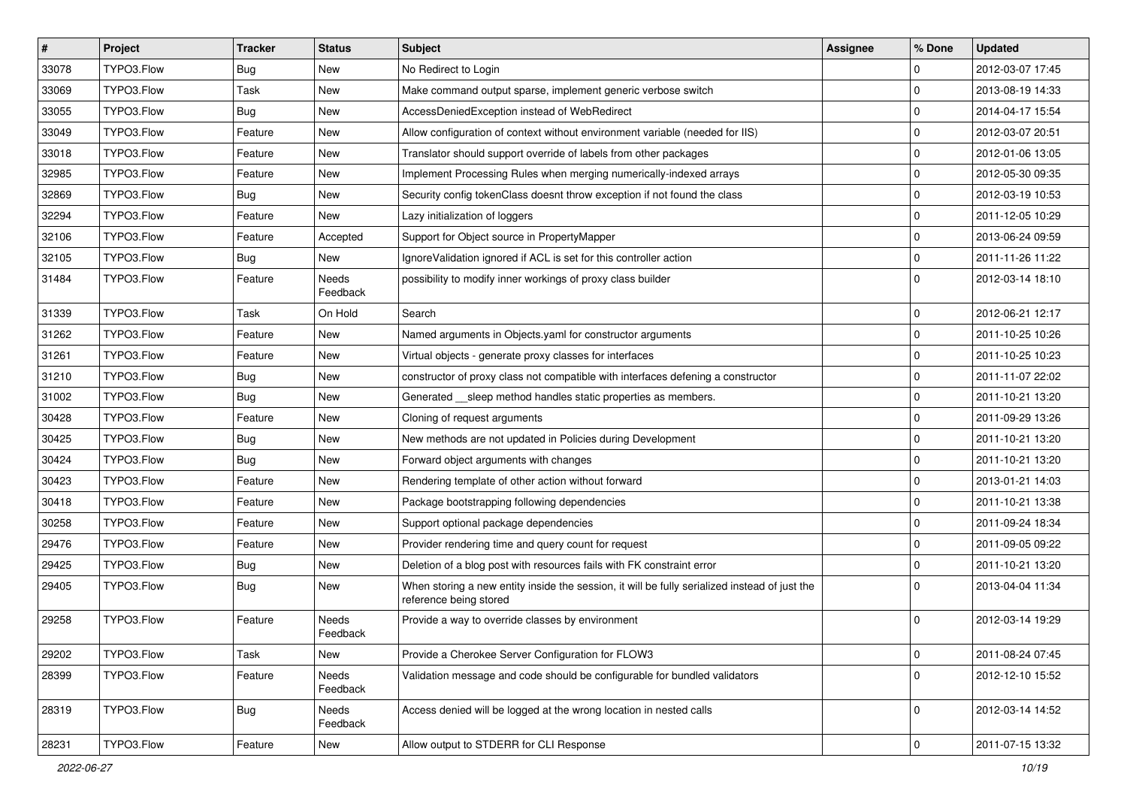| $\vert$ # | Project    | <b>Tracker</b> | <b>Status</b>     | Subject                                                                                                                 | <b>Assignee</b> | % Done      | <b>Updated</b>   |
|-----------|------------|----------------|-------------------|-------------------------------------------------------------------------------------------------------------------------|-----------------|-------------|------------------|
| 33078     | TYPO3.Flow | <b>Bug</b>     | New               | No Redirect to Login                                                                                                    |                 | $\mathbf 0$ | 2012-03-07 17:45 |
| 33069     | TYPO3.Flow | Task           | <b>New</b>        | Make command output sparse, implement generic verbose switch                                                            |                 | $\mathbf 0$ | 2013-08-19 14:33 |
| 33055     | TYPO3.Flow | Bug            | New               | AccessDeniedException instead of WebRedirect                                                                            |                 | $\mathbf 0$ | 2014-04-17 15:54 |
| 33049     | TYPO3.Flow | Feature        | New               | Allow configuration of context without environment variable (needed for IIS)                                            |                 | $\mathbf 0$ | 2012-03-07 20:51 |
| 33018     | TYPO3.Flow | Feature        | New               | Translator should support override of labels from other packages                                                        |                 | $\mathbf 0$ | 2012-01-06 13:05 |
| 32985     | TYPO3.Flow | Feature        | New               | Implement Processing Rules when merging numerically-indexed arrays                                                      |                 | $\mathbf 0$ | 2012-05-30 09:35 |
| 32869     | TYPO3.Flow | <b>Bug</b>     | New               | Security config tokenClass doesnt throw exception if not found the class                                                |                 | $\mathbf 0$ | 2012-03-19 10:53 |
| 32294     | TYPO3.Flow | Feature        | New               | Lazy initialization of loggers                                                                                          |                 | $\mathbf 0$ | 2011-12-05 10:29 |
| 32106     | TYPO3.Flow | Feature        | Accepted          | Support for Object source in PropertyMapper                                                                             |                 | $\mathbf 0$ | 2013-06-24 09:59 |
| 32105     | TYPO3.Flow | <b>Bug</b>     | New               | IgnoreValidation ignored if ACL is set for this controller action                                                       |                 | $\mathbf 0$ | 2011-11-26 11:22 |
| 31484     | TYPO3.Flow | Feature        | Needs<br>Feedback | possibility to modify inner workings of proxy class builder                                                             |                 | $\Omega$    | 2012-03-14 18:10 |
| 31339     | TYPO3.Flow | Task           | On Hold           | Search                                                                                                                  |                 | $\mathbf 0$ | 2012-06-21 12:17 |
| 31262     | TYPO3.Flow | Feature        | New               | Named arguments in Objects.yaml for constructor arguments                                                               |                 | $\mathbf 0$ | 2011-10-25 10:26 |
| 31261     | TYPO3.Flow | Feature        | New               | Virtual objects - generate proxy classes for interfaces                                                                 |                 | $\mathbf 0$ | 2011-10-25 10:23 |
| 31210     | TYPO3.Flow | Bug            | New               | constructor of proxy class not compatible with interfaces defening a constructor                                        |                 | $\mathbf 0$ | 2011-11-07 22:02 |
| 31002     | TYPO3.Flow | <b>Bug</b>     | New               | Generated __sleep method handles static properties as members.                                                          |                 | $\mathbf 0$ | 2011-10-21 13:20 |
| 30428     | TYPO3.Flow | Feature        | New               | Cloning of request arguments                                                                                            |                 | $\Omega$    | 2011-09-29 13:26 |
| 30425     | TYPO3.Flow | <b>Bug</b>     | New               | New methods are not updated in Policies during Development                                                              |                 | $\mathbf 0$ | 2011-10-21 13:20 |
| 30424     | TYPO3.Flow | Bug            | New               | Forward object arguments with changes                                                                                   |                 | $\mathbf 0$ | 2011-10-21 13:20 |
| 30423     | TYPO3.Flow | Feature        | New               | Rendering template of other action without forward                                                                      |                 | $\mathbf 0$ | 2013-01-21 14:03 |
| 30418     | TYPO3.Flow | Feature        | New               | Package bootstrapping following dependencies                                                                            |                 | $\mathbf 0$ | 2011-10-21 13:38 |
| 30258     | TYPO3.Flow | Feature        | New               | Support optional package dependencies                                                                                   |                 | $\mathbf 0$ | 2011-09-24 18:34 |
| 29476     | TYPO3.Flow | Feature        | New               | Provider rendering time and query count for request                                                                     |                 | $\mathbf 0$ | 2011-09-05 09:22 |
| 29425     | TYPO3.Flow | <b>Bug</b>     | New               | Deletion of a blog post with resources fails with FK constraint error                                                   |                 | $\mathbf 0$ | 2011-10-21 13:20 |
| 29405     | TYPO3.Flow | <b>Bug</b>     | New               | When storing a new entity inside the session, it will be fully serialized instead of just the<br>reference being stored |                 | $\Omega$    | 2013-04-04 11:34 |
| 29258     | TYPO3.Flow | Feature        | Needs<br>Feedback | Provide a way to override classes by environment                                                                        |                 | $\Omega$    | 2012-03-14 19:29 |
| 29202     | TYPO3.Flow | Task           | New               | Provide a Cherokee Server Configuration for FLOW3                                                                       |                 | 0           | 2011-08-24 07:45 |
| 28399     | TYPO3.Flow | Feature        | Needs<br>Feedback | Validation message and code should be configurable for bundled validators                                               |                 | $\mathbf 0$ | 2012-12-10 15:52 |
| 28319     | TYPO3.Flow | <b>Bug</b>     | Needs<br>Feedback | Access denied will be logged at the wrong location in nested calls                                                      |                 | $\mathbf 0$ | 2012-03-14 14:52 |
| 28231     | TYPO3.Flow | Feature        | New               | Allow output to STDERR for CLI Response                                                                                 |                 | $\pmb{0}$   | 2011-07-15 13:32 |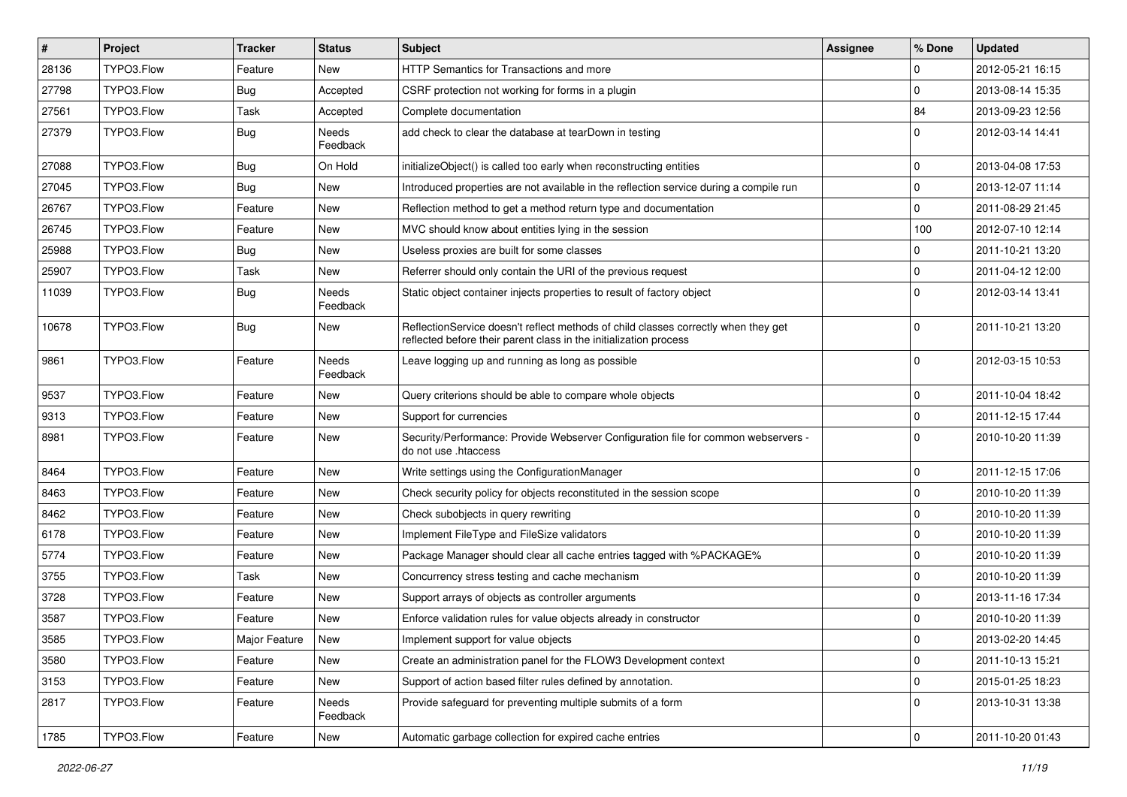| $\vert$ # | Project    | <b>Tracker</b> | <b>Status</b>            | Subject                                                                                                                                                 | Assignee | % Done         | <b>Updated</b>   |
|-----------|------------|----------------|--------------------------|---------------------------------------------------------------------------------------------------------------------------------------------------------|----------|----------------|------------------|
| 28136     | TYPO3.Flow | Feature        | New                      | <b>HTTP Semantics for Transactions and more</b>                                                                                                         |          | $\Omega$       | 2012-05-21 16:15 |
| 27798     | TYPO3.Flow | <b>Bug</b>     | Accepted                 | CSRF protection not working for forms in a plugin                                                                                                       |          | $\Omega$       | 2013-08-14 15:35 |
| 27561     | TYPO3.Flow | Task           | Accepted                 | Complete documentation                                                                                                                                  |          | 84             | 2013-09-23 12:56 |
| 27379     | TYPO3.Flow | <b>Bug</b>     | <b>Needs</b><br>Feedback | add check to clear the database at tearDown in testing                                                                                                  |          | $\Omega$       | 2012-03-14 14:41 |
| 27088     | TYPO3.Flow | <b>Bug</b>     | On Hold                  | initializeObject() is called too early when reconstructing entities                                                                                     |          | $\Omega$       | 2013-04-08 17:53 |
| 27045     | TYPO3.Flow | <b>Bug</b>     | New                      | Introduced properties are not available in the reflection service during a compile run                                                                  |          | $\Omega$       | 2013-12-07 11:14 |
| 26767     | TYPO3.Flow | Feature        | New                      | Reflection method to get a method return type and documentation                                                                                         |          | l 0            | 2011-08-29 21:45 |
| 26745     | TYPO3.Flow | Feature        | New                      | MVC should know about entities lying in the session                                                                                                     |          | 100            | 2012-07-10 12:14 |
| 25988     | TYPO3.Flow | Bug            | New                      | Useless proxies are built for some classes                                                                                                              |          | $\Omega$       | 2011-10-21 13:20 |
| 25907     | TYPO3.Flow | Task           | New                      | Referrer should only contain the URI of the previous request                                                                                            |          | $\overline{0}$ | 2011-04-12 12:00 |
| 11039     | TYPO3.Flow | <b>Bug</b>     | Needs<br>Feedback        | Static object container injects properties to result of factory object                                                                                  |          | ۱n.            | 2012-03-14 13:41 |
| 10678     | TYPO3.Flow | <b>Bug</b>     | New                      | ReflectionService doesn't reflect methods of child classes correctly when they get<br>reflected before their parent class in the initialization process |          | $\Omega$       | 2011-10-21 13:20 |
| 9861      | TYPO3.Flow | Feature        | Needs<br>Feedback        | Leave logging up and running as long as possible                                                                                                        |          | $\Omega$       | 2012-03-15 10:53 |
| 9537      | TYPO3.Flow | Feature        | New                      | Query criterions should be able to compare whole objects                                                                                                |          | $\mathbf 0$    | 2011-10-04 18:42 |
| 9313      | TYPO3.Flow | Feature        | New                      | Support for currencies                                                                                                                                  |          | l 0            | 2011-12-15 17:44 |
| 8981      | TYPO3.Flow | Feature        | New                      | Security/Performance: Provide Webserver Configuration file for common webservers -<br>do not use .htaccess                                              |          | $\Omega$       | 2010-10-20 11:39 |
| 8464      | TYPO3.Flow | Feature        | New                      | Write settings using the ConfigurationManager                                                                                                           |          | $\Omega$       | 2011-12-15 17:06 |
| 8463      | TYPO3.Flow | Feature        | New                      | Check security policy for objects reconstituted in the session scope                                                                                    |          | $\overline{0}$ | 2010-10-20 11:39 |
| 8462      | TYPO3.Flow | Feature        | New                      | Check subobjects in query rewriting                                                                                                                     |          | $\mathbf 0$    | 2010-10-20 11:39 |
| 6178      | TYPO3.Flow | Feature        | New                      | Implement FileType and FileSize validators                                                                                                              |          | $\Omega$       | 2010-10-20 11:39 |
| 5774      | TYPO3.Flow | Feature        | New                      | Package Manager should clear all cache entries tagged with %PACKAGE%                                                                                    |          | $\Omega$       | 2010-10-20 11:39 |
| 3755      | TYPO3.Flow | Task           | New                      | Concurrency stress testing and cache mechanism                                                                                                          |          | $\overline{0}$ | 2010-10-20 11:39 |
| 3728      | TYPO3.Flow | Feature        | New                      | Support arrays of objects as controller arguments                                                                                                       |          | $\overline{0}$ | 2013-11-16 17:34 |
| 3587      | TYPO3.Flow | Feature        | New                      | Enforce validation rules for value objects already in constructor                                                                                       |          | $\mathbf 0$    | 2010-10-20 11:39 |
| 3585      | TYPO3.Flow | Major Feature  | <b>New</b>               | Implement support for value objects                                                                                                                     |          | 1 O            | 2013-02-20 14:45 |
| 3580      | TYPO3.Flow | Feature        | New                      | Create an administration panel for the FLOW3 Development context                                                                                        |          | 0              | 2011-10-13 15:21 |
| 3153      | TYPO3.Flow | Feature        | New                      | Support of action based filter rules defined by annotation.                                                                                             |          | 0              | 2015-01-25 18:23 |
| 2817      | TYPO3.Flow | Feature        | Needs<br>Feedback        | Provide safeguard for preventing multiple submits of a form                                                                                             |          | 0              | 2013-10-31 13:38 |
| 1785      | TYPO3.Flow | Feature        | New                      | Automatic garbage collection for expired cache entries                                                                                                  |          | 0              | 2011-10-20 01:43 |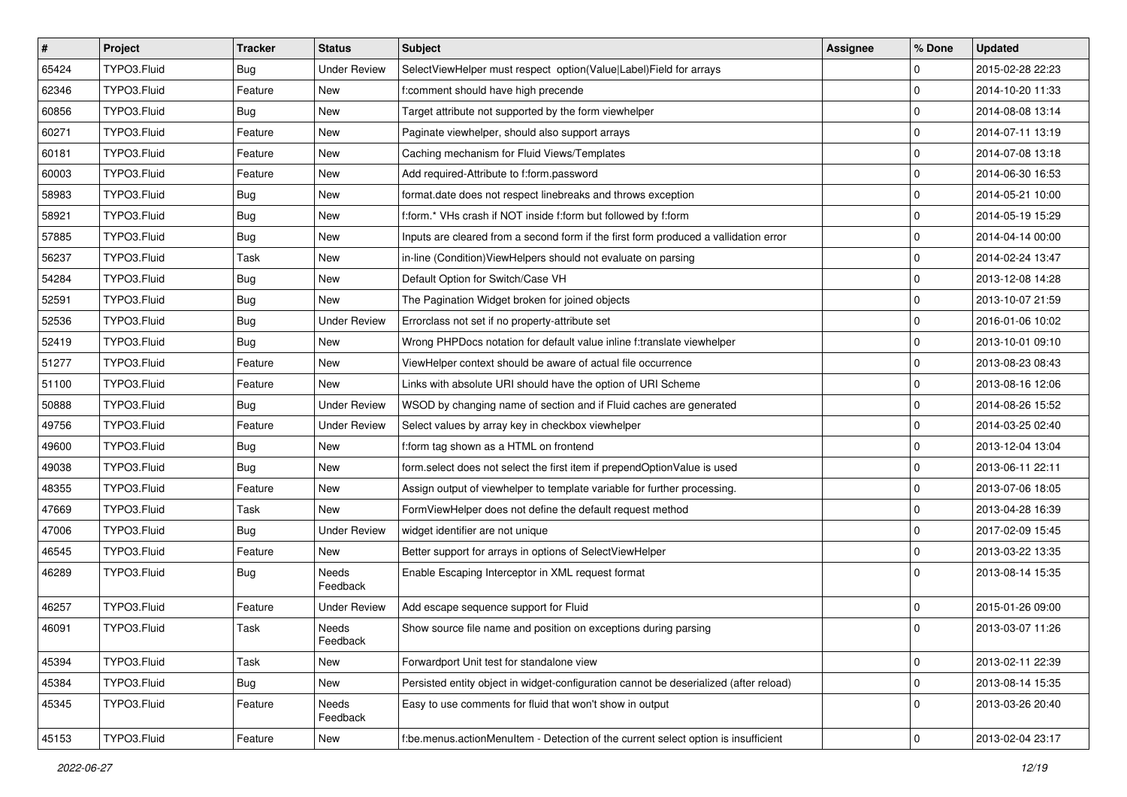| $\vert$ # | Project     | <b>Tracker</b> | <b>Status</b>       | <b>Subject</b>                                                                        | <b>Assignee</b> | % Done      | <b>Updated</b>   |
|-----------|-------------|----------------|---------------------|---------------------------------------------------------------------------------------|-----------------|-------------|------------------|
| 65424     | TYPO3.Fluid | <b>Bug</b>     | <b>Under Review</b> | SelectViewHelper must respect option(Value Label)Field for arrays                     |                 | $\mathbf 0$ | 2015-02-28 22:23 |
| 62346     | TYPO3.Fluid | Feature        | New                 | f:comment should have high precende                                                   |                 | $\mathbf 0$ | 2014-10-20 11:33 |
| 60856     | TYPO3.Fluid | Bug            | New                 | Target attribute not supported by the form viewhelper                                 |                 | $\mathbf 0$ | 2014-08-08 13:14 |
| 60271     | TYPO3.Fluid | Feature        | New                 | Paginate viewhelper, should also support arrays                                       |                 | $\mathbf 0$ | 2014-07-11 13:19 |
| 60181     | TYPO3.Fluid | Feature        | New                 | Caching mechanism for Fluid Views/Templates                                           |                 | $\mathbf 0$ | 2014-07-08 13:18 |
| 60003     | TYPO3.Fluid | Feature        | New                 | Add required-Attribute to f:form.password                                             |                 | $\mathbf 0$ | 2014-06-30 16:53 |
| 58983     | TYPO3.Fluid | <b>Bug</b>     | New                 | format.date does not respect linebreaks and throws exception                          |                 | $\mathbf 0$ | 2014-05-21 10:00 |
| 58921     | TYPO3.Fluid | Bug            | New                 | f:form.* VHs crash if NOT inside f:form but followed by f:form                        |                 | $\mathbf 0$ | 2014-05-19 15:29 |
| 57885     | TYPO3.Fluid | Bug            | New                 | Inputs are cleared from a second form if the first form produced a vallidation error  |                 | $\mathbf 0$ | 2014-04-14 00:00 |
| 56237     | TYPO3.Fluid | Task           | New                 | in-line (Condition) View Helpers should not evaluate on parsing                       |                 | $\mathbf 0$ | 2014-02-24 13:47 |
| 54284     | TYPO3.Fluid | Bug            | New                 | Default Option for Switch/Case VH                                                     |                 | $\mathbf 0$ | 2013-12-08 14:28 |
| 52591     | TYPO3.Fluid | <b>Bug</b>     | New                 | The Pagination Widget broken for joined objects                                       |                 | $\mathbf 0$ | 2013-10-07 21:59 |
| 52536     | TYPO3.Fluid | Bug            | <b>Under Review</b> | Errorclass not set if no property-attribute set                                       |                 | $\mathbf 0$ | 2016-01-06 10:02 |
| 52419     | TYPO3.Fluid | Bug            | New                 | Wrong PHPDocs notation for default value inline f:translate viewhelper                |                 | $\mathbf 0$ | 2013-10-01 09:10 |
| 51277     | TYPO3.Fluid | Feature        | New                 | ViewHelper context should be aware of actual file occurrence                          |                 | $\mathbf 0$ | 2013-08-23 08:43 |
| 51100     | TYPO3.Fluid | Feature        | New                 | Links with absolute URI should have the option of URI Scheme                          |                 | $\mathbf 0$ | 2013-08-16 12:06 |
| 50888     | TYPO3.Fluid | Bug            | <b>Under Review</b> | WSOD by changing name of section and if Fluid caches are generated                    |                 | $\mathbf 0$ | 2014-08-26 15:52 |
| 49756     | TYPO3.Fluid | Feature        | <b>Under Review</b> | Select values by array key in checkbox viewhelper                                     |                 | $\mathbf 0$ | 2014-03-25 02:40 |
| 49600     | TYPO3.Fluid | <b>Bug</b>     | New                 | f:form tag shown as a HTML on frontend                                                |                 | $\mathbf 0$ | 2013-12-04 13:04 |
| 49038     | TYPO3.Fluid | Bug            | New                 | form.select does not select the first item if prependOptionValue is used              |                 | $\mathbf 0$ | 2013-06-11 22:11 |
| 48355     | TYPO3.Fluid | Feature        | New                 | Assign output of viewhelper to template variable for further processing.              |                 | 0           | 2013-07-06 18:05 |
| 47669     | TYPO3.Fluid | Task           | New                 | FormViewHelper does not define the default request method                             |                 | $\mathbf 0$ | 2013-04-28 16:39 |
| 47006     | TYPO3.Fluid | <b>Bug</b>     | <b>Under Review</b> | widget identifier are not unique                                                      |                 | $\mathbf 0$ | 2017-02-09 15:45 |
| 46545     | TYPO3.Fluid | Feature        | New                 | Better support for arrays in options of SelectViewHelper                              |                 | $\mathbf 0$ | 2013-03-22 13:35 |
| 46289     | TYPO3.Fluid | Bug            | Needs<br>Feedback   | Enable Escaping Interceptor in XML request format                                     |                 | $\Omega$    | 2013-08-14 15:35 |
| 46257     | TYPO3.Fluid | Feature        | <b>Under Review</b> | Add escape sequence support for Fluid                                                 |                 | $\mathbf 0$ | 2015-01-26 09:00 |
| 46091     | TYPO3.Fluid | Task           | Needs<br>Feedback   | Show source file name and position on exceptions during parsing                       |                 | $\mathbf 0$ | 2013-03-07 11:26 |
| 45394     | TYPO3.Fluid | Task           | New                 | Forwardport Unit test for standalone view                                             |                 | $\mathbf 0$ | 2013-02-11 22:39 |
| 45384     | TYPO3.Fluid | <b>Bug</b>     | New                 | Persisted entity object in widget-configuration cannot be deserialized (after reload) |                 | $\mathbf 0$ | 2013-08-14 15:35 |
| 45345     | TYPO3.Fluid | Feature        | Needs<br>Feedback   | Easy to use comments for fluid that won't show in output                              |                 | $\mathbf 0$ | 2013-03-26 20:40 |
| 45153     | TYPO3.Fluid | Feature        | New                 | f:be.menus.actionMenuItem - Detection of the current select option is insufficient    |                 | $\mathbf 0$ | 2013-02-04 23:17 |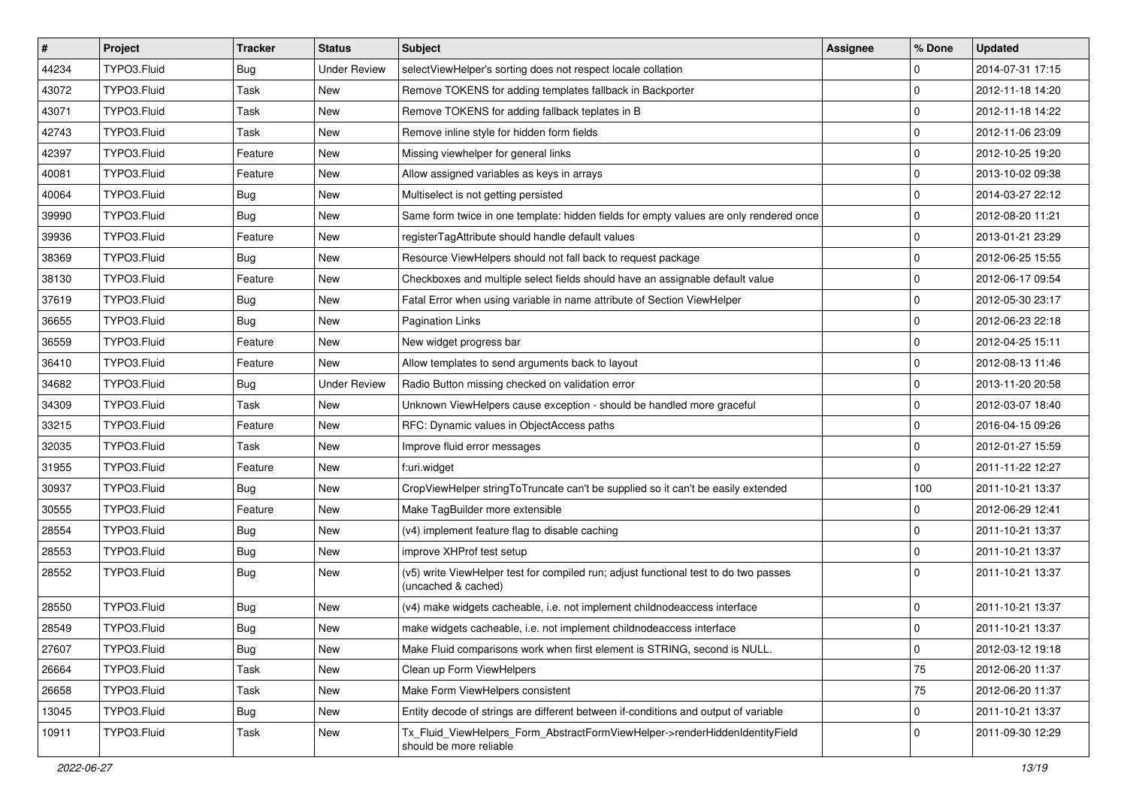| $\vert$ # | Project     | <b>Tracker</b> | <b>Status</b>       | <b>Subject</b>                                                                                              | <b>Assignee</b> | % Done      | <b>Updated</b>   |
|-----------|-------------|----------------|---------------------|-------------------------------------------------------------------------------------------------------------|-----------------|-------------|------------------|
| 44234     | TYPO3.Fluid | <b>Bug</b>     | <b>Under Review</b> | selectViewHelper's sorting does not respect locale collation                                                |                 | $\mathbf 0$ | 2014-07-31 17:15 |
| 43072     | TYPO3.Fluid | Task           | New                 | Remove TOKENS for adding templates fallback in Backporter                                                   |                 | $\mathbf 0$ | 2012-11-18 14:20 |
| 43071     | TYPO3.Fluid | Task           | New                 | Remove TOKENS for adding fallback teplates in B                                                             |                 | $\mathbf 0$ | 2012-11-18 14:22 |
| 42743     | TYPO3.Fluid | Task           | New                 | Remove inline style for hidden form fields                                                                  |                 | $\mathbf 0$ | 2012-11-06 23:09 |
| 42397     | TYPO3.Fluid | Feature        | <b>New</b>          | Missing viewhelper for general links                                                                        |                 | $\mathbf 0$ | 2012-10-25 19:20 |
| 40081     | TYPO3.Fluid | Feature        | New                 | Allow assigned variables as keys in arrays                                                                  |                 | $\mathbf 0$ | 2013-10-02 09:38 |
| 40064     | TYPO3.Fluid | <b>Bug</b>     | New                 | Multiselect is not getting persisted                                                                        |                 | $\mathbf 0$ | 2014-03-27 22:12 |
| 39990     | TYPO3.Fluid | Bug            | New                 | Same form twice in one template: hidden fields for empty values are only rendered once                      |                 | $\mathbf 0$ | 2012-08-20 11:21 |
| 39936     | TYPO3.Fluid | Feature        | New                 | registerTagAttribute should handle default values                                                           |                 | $\mathbf 0$ | 2013-01-21 23:29 |
| 38369     | TYPO3.Fluid | <b>Bug</b>     | New                 | Resource ViewHelpers should not fall back to request package                                                |                 | $\mathbf 0$ | 2012-06-25 15:55 |
| 38130     | TYPO3.Fluid | Feature        | New                 | Checkboxes and multiple select fields should have an assignable default value                               |                 | $\mathbf 0$ | 2012-06-17 09:54 |
| 37619     | TYPO3.Fluid | <b>Bug</b>     | New                 | Fatal Error when using variable in name attribute of Section ViewHelper                                     |                 | $\mathbf 0$ | 2012-05-30 23:17 |
| 36655     | TYPO3.Fluid | <b>Bug</b>     | New                 | <b>Pagination Links</b>                                                                                     |                 | $\mathbf 0$ | 2012-06-23 22:18 |
| 36559     | TYPO3.Fluid | Feature        | New                 | New widget progress bar                                                                                     |                 | $\mathbf 0$ | 2012-04-25 15:11 |
| 36410     | TYPO3.Fluid | Feature        | <b>New</b>          | Allow templates to send arguments back to layout                                                            |                 | $\mathbf 0$ | 2012-08-13 11:46 |
| 34682     | TYPO3.Fluid | Bug            | <b>Under Review</b> | Radio Button missing checked on validation error                                                            |                 | $\mathbf 0$ | 2013-11-20 20:58 |
| 34309     | TYPO3.Fluid | Task           | New                 | Unknown ViewHelpers cause exception - should be handled more graceful                                       |                 | $\mathbf 0$ | 2012-03-07 18:40 |
| 33215     | TYPO3.Fluid | Feature        | New                 | RFC: Dynamic values in ObjectAccess paths                                                                   |                 | $\mathbf 0$ | 2016-04-15 09:26 |
| 32035     | TYPO3.Fluid | Task           | New                 | Improve fluid error messages                                                                                |                 | $\mathbf 0$ | 2012-01-27 15:59 |
| 31955     | TYPO3.Fluid | Feature        | New                 | f:uri.widget                                                                                                |                 | $\Omega$    | 2011-11-22 12:27 |
| 30937     | TYPO3.Fluid | Bug            | New                 | CropViewHelper stringToTruncate can't be supplied so it can't be easily extended                            |                 | 100         | 2011-10-21 13:37 |
| 30555     | TYPO3.Fluid | Feature        | New                 | Make TagBuilder more extensible                                                                             |                 | $\mathbf 0$ | 2012-06-29 12:41 |
| 28554     | TYPO3.Fluid | <b>Bug</b>     | New                 | (v4) implement feature flag to disable caching                                                              |                 | $\mathbf 0$ | 2011-10-21 13:37 |
| 28553     | TYPO3.Fluid | <b>Bug</b>     | New                 | improve XHProf test setup                                                                                   |                 | $\mathbf 0$ | 2011-10-21 13:37 |
| 28552     | TYPO3.Fluid | Bug            | New                 | (v5) write ViewHelper test for compiled run; adjust functional test to do two passes<br>(uncached & cached) |                 | $\Omega$    | 2011-10-21 13:37 |
| 28550     | TYPO3.Fluid | <b>Bug</b>     | New                 | (v4) make widgets cacheable, i.e. not implement childnodeaccess interface                                   |                 | $\mathbf 0$ | 2011-10-21 13:37 |
| 28549     | TYPO3.Fluid | <b>Bug</b>     | New                 | make widgets cacheable, i.e. not implement childnodeaccess interface                                        |                 | $\mathbf 0$ | 2011-10-21 13:37 |
| 27607     | TYPO3.Fluid | Bug            | New                 | Make Fluid comparisons work when first element is STRING, second is NULL.                                   |                 | 0           | 2012-03-12 19:18 |
| 26664     | TYPO3.Fluid | Task           | New                 | Clean up Form ViewHelpers                                                                                   |                 | 75          | 2012-06-20 11:37 |
| 26658     | TYPO3.Fluid | Task           | New                 | Make Form ViewHelpers consistent                                                                            |                 | 75          | 2012-06-20 11:37 |
| 13045     | TYPO3.Fluid | <b>Bug</b>     | New                 | Entity decode of strings are different between if-conditions and output of variable                         |                 | $\pmb{0}$   | 2011-10-21 13:37 |
| 10911     | TYPO3.Fluid | Task           | New                 | Tx Fluid ViewHelpers Form AbstractFormViewHelper->renderHiddenIdentityField<br>should be more reliable      |                 | $\mathbf 0$ | 2011-09-30 12:29 |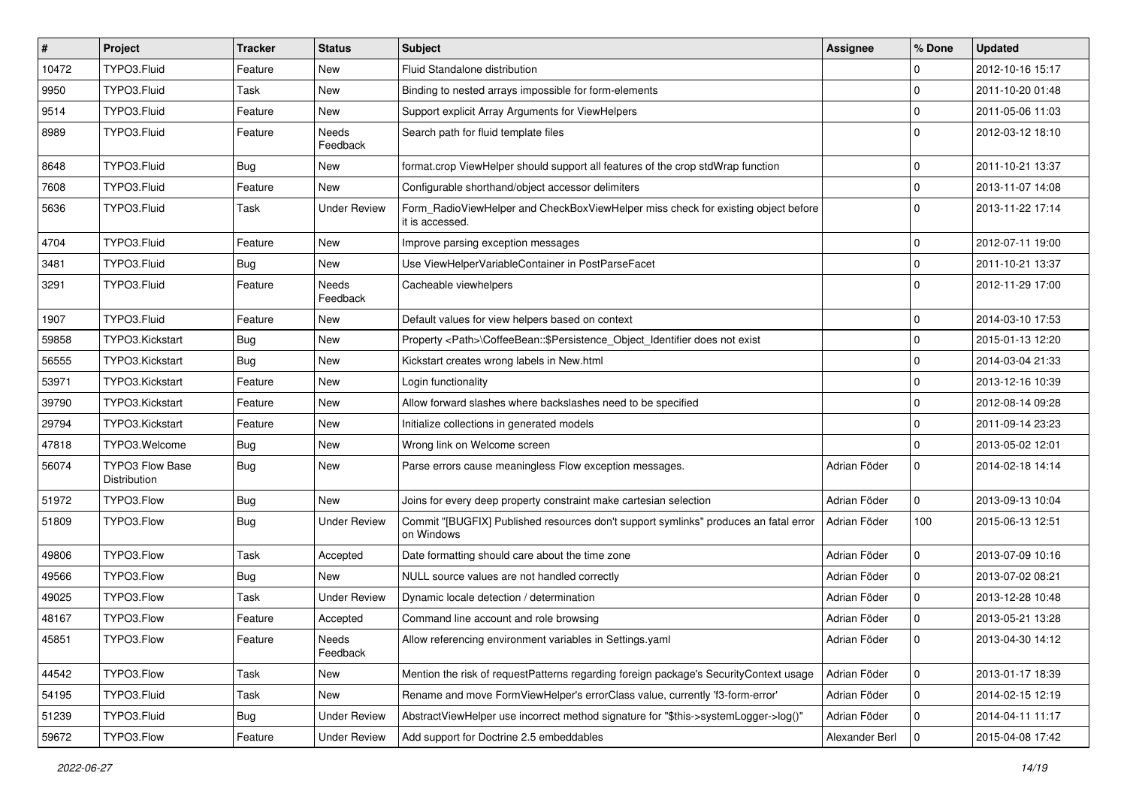| $\vert$ # | <b>Project</b>                         | <b>Tracker</b> | <b>Status</b>       | Subject                                                                                              | <b>Assignee</b> | % Done       | <b>Updated</b>   |
|-----------|----------------------------------------|----------------|---------------------|------------------------------------------------------------------------------------------------------|-----------------|--------------|------------------|
| 10472     | TYPO3.Fluid                            | Feature        | New                 | Fluid Standalone distribution                                                                        |                 | 0            | 2012-10-16 15:17 |
| 9950      | TYPO3.Fluid                            | Task           | New                 | Binding to nested arrays impossible for form-elements                                                |                 | 0            | 2011-10-20 01:48 |
| 9514      | TYPO3.Fluid                            | Feature        | New                 | Support explicit Array Arguments for ViewHelpers                                                     |                 | 0            | 2011-05-06 11:03 |
| 8989      | TYPO3.Fluid                            | Feature        | Needs<br>Feedback   | Search path for fluid template files                                                                 |                 | $\Omega$     | 2012-03-12 18:10 |
| 8648      | TYPO3.Fluid                            | <b>Bug</b>     | New                 | format.crop ViewHelper should support all features of the crop stdWrap function                      |                 | $\mathbf 0$  | 2011-10-21 13:37 |
| 7608      | TYPO3.Fluid                            | Feature        | New                 | Configurable shorthand/object accessor delimiters                                                    |                 | 0            | 2013-11-07 14:08 |
| 5636      | TYPO3.Fluid                            | Task           | <b>Under Review</b> | Form_RadioViewHelper and CheckBoxViewHelper miss check for existing object before<br>it is accessed. |                 | $\Omega$     | 2013-11-22 17:14 |
| 4704      | TYPO3.Fluid                            | Feature        | New                 | Improve parsing exception messages                                                                   |                 | 0            | 2012-07-11 19:00 |
| 3481      | TYPO3.Fluid                            | Bug            | New                 | Use ViewHelperVariableContainer in PostParseFacet                                                    |                 | 0            | 2011-10-21 13:37 |
| 3291      | TYPO3.Fluid                            | Feature        | Needs<br>Feedback   | Cacheable viewhelpers                                                                                |                 | $\Omega$     | 2012-11-29 17:00 |
| 1907      | TYPO3.Fluid                            | Feature        | New                 | Default values for view helpers based on context                                                     |                 | $\mathbf 0$  | 2014-03-10 17:53 |
| 59858     | TYPO3.Kickstart                        | <b>Bug</b>     | New                 | Property <path>\CoffeeBean::\$Persistence_Object_Identifier does not exist</path>                    |                 | 0            | 2015-01-13 12:20 |
| 56555     | TYPO3.Kickstart                        | Bug            | New                 | Kickstart creates wrong labels in New.html                                                           |                 | 0            | 2014-03-04 21:33 |
| 53971     | TYPO3.Kickstart                        | Feature        | New                 | Login functionality                                                                                  |                 | $\mathbf 0$  | 2013-12-16 10:39 |
| 39790     | TYPO3.Kickstart                        | Feature        | New                 | Allow forward slashes where backslashes need to be specified                                         |                 | 0            | 2012-08-14 09:28 |
| 29794     | TYPO3.Kickstart                        | Feature        | New                 | Initialize collections in generated models                                                           |                 | 0            | 2011-09-14 23:23 |
| 47818     | TYPO3.Welcome                          | Bug            | New                 | Wrong link on Welcome screen                                                                         |                 | 0            | 2013-05-02 12:01 |
| 56074     | <b>TYPO3 Flow Base</b><br>Distribution | Bug            | New                 | Parse errors cause meaningless Flow exception messages.                                              | Adrian Föder    | 0            | 2014-02-18 14:14 |
| 51972     | TYPO3.Flow                             | <b>Bug</b>     | <b>New</b>          | Joins for every deep property constraint make cartesian selection                                    | Adrian Föder    | $\mathbf 0$  | 2013-09-13 10:04 |
| 51809     | TYPO3.Flow                             | Bug            | <b>Under Review</b> | Commit "[BUGFIX] Published resources don't support symlinks" produces an fatal error<br>on Windows   | Adrian Föder    | 100          | 2015-06-13 12:51 |
| 49806     | TYPO3.Flow                             | Task           | Accepted            | Date formatting should care about the time zone                                                      | Adrian Föder    | 0            | 2013-07-09 10:16 |
| 49566     | TYPO3.Flow                             | <b>Bug</b>     | New                 | NULL source values are not handled correctly                                                         | Adrian Föder    | 0            | 2013-07-02 08:21 |
| 49025     | TYPO3.Flow                             | Task           | <b>Under Review</b> | Dynamic locale detection / determination                                                             | Adrian Föder    | $\mathbf 0$  | 2013-12-28 10:48 |
| 48167     | TYPO3.Flow                             | Feature        | Accepted            | Command line account and role browsing                                                               | Adrian Föder    | $\mathbf{0}$ | 2013-05-21 13:28 |
| 45851     | TYPO3.Flow                             | Feature        | Needs<br>Feedback   | Allow referencing environment variables in Settings.yaml                                             | Adrian Föder    | 0            | 2013-04-30 14:12 |
| 44542     | TYPO3.Flow                             | Task           | New                 | Mention the risk of requestPatterns regarding foreign package's SecurityContext usage                | Adrian Föder    | 0            | 2013-01-17 18:39 |
| 54195     | TYPO3.Fluid                            | Task           | New                 | Rename and move FormViewHelper's errorClass value, currently 'f3-form-error'                         | Adrian Föder    | 0            | 2014-02-15 12:19 |
| 51239     | TYPO3.Fluid                            | <b>Bug</b>     | <b>Under Review</b> | AbstractViewHelper use incorrect method signature for "\$this->systemLogger->log()"                  | Adrian Föder    | 0            | 2014-04-11 11:17 |
| 59672     | TYPO3.Flow                             | Feature        | <b>Under Review</b> | Add support for Doctrine 2.5 embeddables                                                             | Alexander Berl  | 0            | 2015-04-08 17:42 |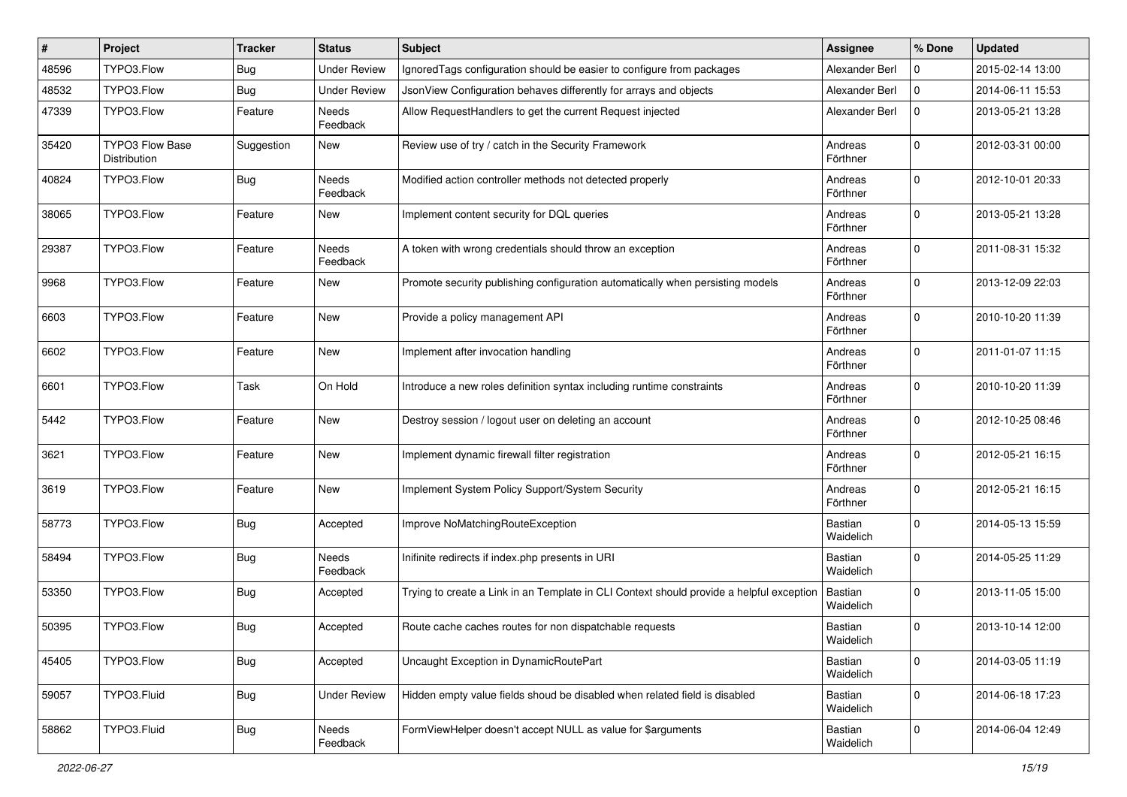| #     | Project                         | <b>Tracker</b> | <b>Status</b>            | Subject                                                                                  | <b>Assignee</b>      | % Done      | <b>Updated</b>   |
|-------|---------------------------------|----------------|--------------------------|------------------------------------------------------------------------------------------|----------------------|-------------|------------------|
| 48596 | TYPO3.Flow                      | Bug            | <b>Under Review</b>      | Ignored Tags configuration should be easier to configure from packages                   | Alexander Berl       | $\Omega$    | 2015-02-14 13:00 |
| 48532 | TYPO3.Flow                      | Bug            | <b>Under Review</b>      | JsonView Configuration behaves differently for arrays and objects                        | Alexander Berl       | $\Omega$    | 2014-06-11 15:53 |
| 47339 | TYPO3.Flow                      | Feature        | Needs<br>Feedback        | Allow RequestHandlers to get the current Request injected                                | Alexander Berl       | $\mathbf 0$ | 2013-05-21 13:28 |
| 35420 | TYPO3 Flow Base<br>Distribution | Suggestion     | New                      | Review use of try / catch in the Security Framework                                      | Andreas<br>Förthner  | $\mathbf 0$ | 2012-03-31 00:00 |
| 40824 | TYPO3.Flow                      | <b>Bug</b>     | <b>Needs</b><br>Feedback | Modified action controller methods not detected properly                                 | Andreas<br>Förthner  | $\mathbf 0$ | 2012-10-01 20:33 |
| 38065 | TYPO3.Flow                      | Feature        | New                      | Implement content security for DQL queries                                               | Andreas<br>Förthner  | $\mathbf 0$ | 2013-05-21 13:28 |
| 29387 | TYPO3.Flow                      | Feature        | Needs<br>Feedback        | A token with wrong credentials should throw an exception                                 | Andreas<br>Förthner  | $\mathbf 0$ | 2011-08-31 15:32 |
| 9968  | TYPO3.Flow                      | Feature        | New                      | Promote security publishing configuration automatically when persisting models           | Andreas<br>Förthner  | $\mathbf 0$ | 2013-12-09 22:03 |
| 6603  | TYPO3.Flow                      | Feature        | New                      | Provide a policy management API                                                          | Andreas<br>Förthner  | $\mathbf 0$ | 2010-10-20 11:39 |
| 6602  | TYPO3.Flow                      | Feature        | New                      | Implement after invocation handling                                                      | Andreas<br>Förthner  | $\mathbf 0$ | 2011-01-07 11:15 |
| 6601  | TYPO3.Flow                      | Task           | On Hold                  | Introduce a new roles definition syntax including runtime constraints                    | Andreas<br>Förthner  | $\Omega$    | 2010-10-20 11:39 |
| 5442  | TYPO3.Flow                      | Feature        | New                      | Destroy session / logout user on deleting an account                                     | Andreas<br>Förthner  | $\mathbf 0$ | 2012-10-25 08:46 |
| 3621  | TYPO3.Flow                      | Feature        | New                      | Implement dynamic firewall filter registration                                           | Andreas<br>Förthner  | $\mathbf 0$ | 2012-05-21 16:15 |
| 3619  | TYPO3.Flow                      | Feature        | New                      | Implement System Policy Support/System Security                                          | Andreas<br>Förthner  | $\mathbf 0$ | 2012-05-21 16:15 |
| 58773 | TYPO3.Flow                      | <b>Bug</b>     | Accepted                 | Improve NoMatchingRouteException                                                         | Bastian<br>Waidelich | $\mathbf 0$ | 2014-05-13 15:59 |
| 58494 | TYPO3.Flow                      | <b>Bug</b>     | <b>Needs</b><br>Feedback | Inifinite redirects if index.php presents in URI                                         | Bastian<br>Waidelich | $\mathbf 0$ | 2014-05-25 11:29 |
| 53350 | TYPO3.Flow                      | Bug            | Accepted                 | Trying to create a Link in an Template in CLI Context should provide a helpful exception | Bastian<br>Waidelich | $\Omega$    | 2013-11-05 15:00 |
| 50395 | TYPO3.Flow                      | Bug            | Accepted                 | Route cache caches routes for non dispatchable requests                                  | Bastian<br>Waidelich | $\mathbf 0$ | 2013-10-14 12:00 |
| 45405 | TYPO3.Flow                      | <b>Bug</b>     | Accepted                 | Uncaught Exception in DynamicRoutePart                                                   | Bastian<br>Waidelich | $\mathbf 0$ | 2014-03-05 11:19 |
| 59057 | TYPO3.Fluid                     | <b>Bug</b>     | <b>Under Review</b>      | Hidden empty value fields shoud be disabled when related field is disabled               | Bastian<br>Waidelich | 0           | 2014-06-18 17:23 |
| 58862 | TYPO3.Fluid                     | <b>Bug</b>     | Needs<br>Feedback        | FormViewHelper doesn't accept NULL as value for \$arguments                              | Bastian<br>Waidelich | 0           | 2014-06-04 12:49 |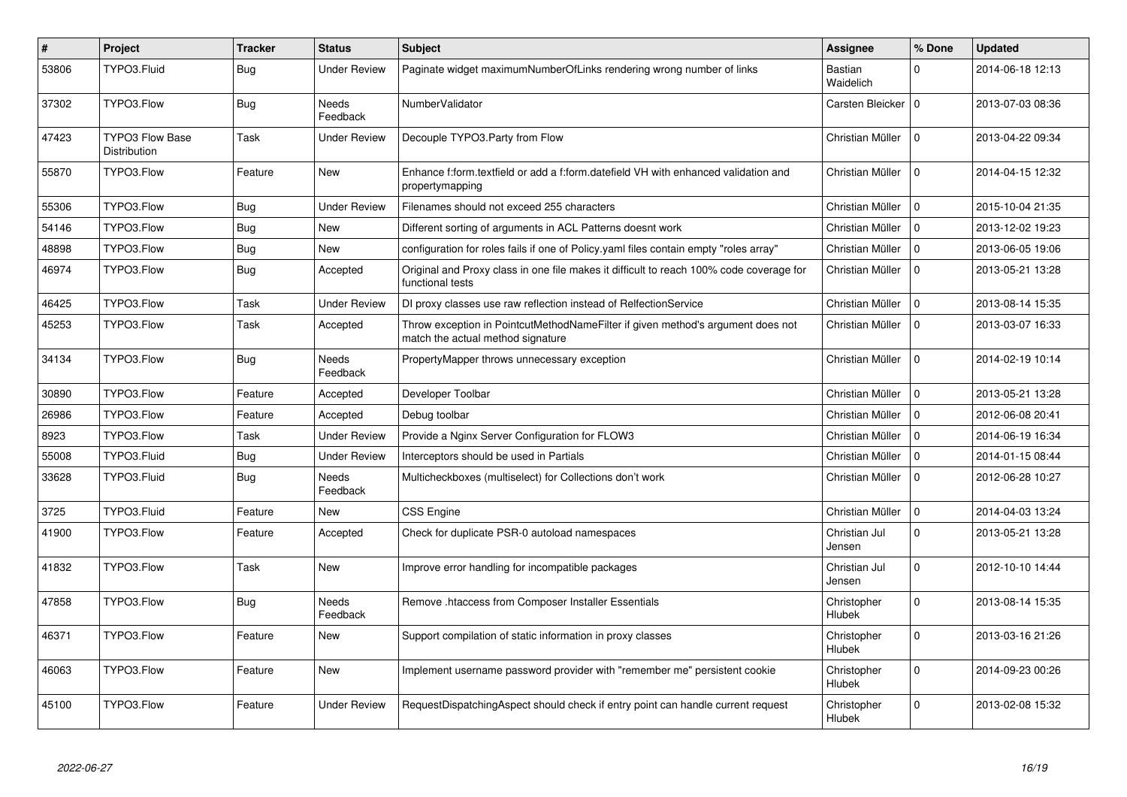| #     | <b>Project</b>                                | <b>Tracker</b> | <b>Status</b>            | <b>Subject</b>                                                                                                       | Assignee                     | % Done       | <b>Updated</b>   |
|-------|-----------------------------------------------|----------------|--------------------------|----------------------------------------------------------------------------------------------------------------------|------------------------------|--------------|------------------|
| 53806 | TYPO3.Fluid                                   | Bug            | Under Review             | Paginate widget maximumNumberOfLinks rendering wrong number of links                                                 | Bastian<br>Waidelich         | 0            | 2014-06-18 12:13 |
| 37302 | TYPO3.Flow                                    | <b>Bug</b>     | Needs<br>Feedback        | NumberValidator                                                                                                      | Carsten Bleicker   0         |              | 2013-07-03 08:36 |
| 47423 | <b>TYPO3 Flow Base</b><br><b>Distribution</b> | Task           | Under Review             | Decouple TYPO3.Party from Flow                                                                                       | Christian Müller             | $\Omega$     | 2013-04-22 09:34 |
| 55870 | TYPO3.Flow                                    | Feature        | <b>New</b>               | Enhance f:form.textfield or add a f:form.datefield VH with enhanced validation and<br>propertymapping                | Christian Müller             | $\Omega$     | 2014-04-15 12:32 |
| 55306 | TYPO3.Flow                                    | Bug            | <b>Under Review</b>      | Filenames should not exceed 255 characters                                                                           | Christian Müller             | $\Omega$     | 2015-10-04 21:35 |
| 54146 | TYPO3.Flow                                    | <b>Bug</b>     | New                      | Different sorting of arguments in ACL Patterns doesnt work                                                           | Christian Müller             | $\mathbf 0$  | 2013-12-02 19:23 |
| 48898 | TYPO3.Flow                                    | <b>Bug</b>     | <b>New</b>               | configuration for roles fails if one of Policy yaml files contain empty "roles array"                                | Christian Müller             | $\Omega$     | 2013-06-05 19:06 |
| 46974 | TYPO3.Flow                                    | Bug            | Accepted                 | Original and Proxy class in one file makes it difficult to reach 100% code coverage for<br>functional tests          | Christian Müller             | $\Omega$     | 2013-05-21 13:28 |
| 46425 | TYPO3.Flow                                    | Task           | <b>Under Review</b>      | DI proxy classes use raw reflection instead of RelfectionService                                                     | Christian Müller             | 0            | 2013-08-14 15:35 |
| 45253 | TYPO3.Flow                                    | Task           | Accepted                 | Throw exception in PointcutMethodNameFilter if given method's argument does not<br>match the actual method signature | Christian Müller             | $\mathbf 0$  | 2013-03-07 16:33 |
| 34134 | TYPO3.Flow                                    | <b>Bug</b>     | <b>Needs</b><br>Feedback | PropertyMapper throws unnecessary exception                                                                          | Christian Müller             | $\Omega$     | 2014-02-19 10:14 |
| 30890 | TYPO3.Flow                                    | Feature        | Accepted                 | Developer Toolbar                                                                                                    | Christian Müller             | $\mathbf 0$  | 2013-05-21 13:28 |
| 26986 | TYPO3.Flow                                    | Feature        | Accepted                 | Debug toolbar                                                                                                        | Christian Müller             | $\Omega$     | 2012-06-08 20:41 |
| 8923  | TYPO3.Flow                                    | Task           | Under Review             | Provide a Nginx Server Configuration for FLOW3                                                                       | Christian Müller             | $\Omega$     | 2014-06-19 16:34 |
| 55008 | TYPO3.Fluid                                   | <b>Bug</b>     | <b>Under Review</b>      | Interceptors should be used in Partials                                                                              | Christian Müller             | $\Omega$     | 2014-01-15 08:44 |
| 33628 | TYPO3.Fluid                                   | Bug            | <b>Needs</b><br>Feedback | Multicheckboxes (multiselect) for Collections don't work                                                             | Christian Müller             | $\Omega$     | 2012-06-28 10:27 |
| 3725  | TYPO3.Fluid                                   | Feature        | <b>New</b>               | CSS Engine                                                                                                           | Christian Müller             | $\mathbf{0}$ | 2014-04-03 13:24 |
| 41900 | TYPO3.Flow                                    | Feature        | Accepted                 | Check for duplicate PSR-0 autoload namespaces                                                                        | Christian Jul<br>Jensen      | $\Omega$     | 2013-05-21 13:28 |
| 41832 | TYPO3.Flow                                    | Task           | <b>New</b>               | Improve error handling for incompatible packages                                                                     | Christian Jul<br>Jensen      | $\Omega$     | 2012-10-10 14:44 |
| 47858 | TYPO3.Flow                                    | <b>Bug</b>     | <b>Needs</b><br>Feedback | Remove .htaccess from Composer Installer Essentials                                                                  | Christopher<br>Hlubek        | $\Omega$     | 2013-08-14 15:35 |
| 46371 | TYPO3.Flow                                    | Feature        | <b>New</b>               | Support compilation of static information in proxy classes                                                           | Christopher<br>Hlubek        | $\Omega$     | 2013-03-16 21:26 |
| 46063 | TYPO3.Flow                                    | Feature        | <b>New</b>               | Implement username password provider with "remember me" persistent cookie                                            | Christopher<br>Hlubek        | $\mathbf 0$  | 2014-09-23 00:26 |
| 45100 | TYPO3.Flow                                    | Feature        | Under Review             | RequestDispatchingAspect should check if entry point can handle current request                                      | Christopher<br><b>Hlubek</b> | 0            | 2013-02-08 15:32 |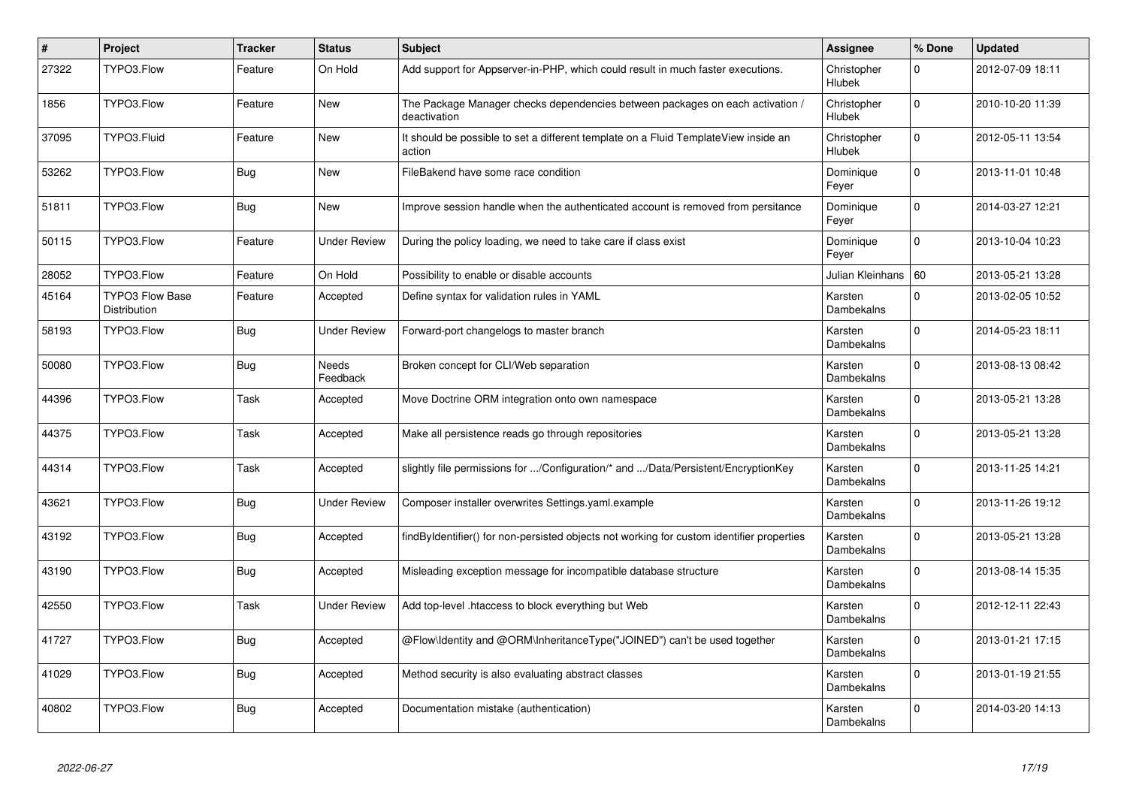| $\vert$ # | Project                                       | <b>Tracker</b> | <b>Status</b>            | <b>Subject</b>                                                                                | Assignee              | % Done      | <b>Updated</b>   |
|-----------|-----------------------------------------------|----------------|--------------------------|-----------------------------------------------------------------------------------------------|-----------------------|-------------|------------------|
| 27322     | TYPO3.Flow                                    | Feature        | On Hold                  | Add support for Appserver-in-PHP, which could result in much faster executions.               | Christopher<br>Hlubek | 0           | 2012-07-09 18:11 |
| 1856      | TYPO3.Flow                                    | Feature        | New                      | The Package Manager checks dependencies between packages on each activation /<br>deactivation | Christopher<br>Hlubek | $\Omega$    | 2010-10-20 11:39 |
| 37095     | TYPO3.Fluid                                   | Feature        | New                      | It should be possible to set a different template on a Fluid TemplateView inside an<br>action | Christopher<br>Hlubek | $\Omega$    | 2012-05-11 13:54 |
| 53262     | TYPO3.Flow                                    | Bug            | <b>New</b>               | FileBakend have some race condition                                                           | Dominique<br>Feyer    | $\mathbf 0$ | 2013-11-01 10:48 |
| 51811     | TYPO3.Flow                                    | Bug            | <b>New</b>               | Improve session handle when the authenticated account is removed from persitance              | Dominique<br>Feyer    | $\Omega$    | 2014-03-27 12:21 |
| 50115     | TYPO3.Flow                                    | Feature        | Under Review             | During the policy loading, we need to take care if class exist                                | Dominique<br>Feyer    | $\mathbf 0$ | 2013-10-04 10:23 |
| 28052     | TYPO3.Flow                                    | Feature        | On Hold                  | Possibility to enable or disable accounts                                                     | Julian Kleinhans   60 |             | 2013-05-21 13:28 |
| 45164     | <b>TYPO3 Flow Base</b><br><b>Distribution</b> | Feature        | Accepted                 | Define syntax for validation rules in YAML                                                    | Karsten<br>Dambekalns | $\Omega$    | 2013-02-05 10:52 |
| 58193     | TYPO3.Flow                                    | <b>Bug</b>     | Under Review             | Forward-port changelogs to master branch                                                      | Karsten<br>Dambekalns | $\Omega$    | 2014-05-23 18:11 |
| 50080     | TYPO3.Flow                                    | <b>Bug</b>     | <b>Needs</b><br>Feedback | Broken concept for CLI/Web separation                                                         | Karsten<br>Dambekalns | $\Omega$    | 2013-08-13 08:42 |
| 44396     | TYPO3.Flow                                    | Task           | Accepted                 | Move Doctrine ORM integration onto own namespace                                              | Karsten<br>Dambekalns | $\mathbf 0$ | 2013-05-21 13:28 |
| 44375     | TYPO3.Flow                                    | Task           | Accepted                 | Make all persistence reads go through repositories                                            | Karsten<br>Dambekalns | $\Omega$    | 2013-05-21 13:28 |
| 44314     | TYPO3.Flow                                    | Task           | Accepted                 | slightly file permissions for /Configuration/* and /Data/Persistent/EncryptionKey             | Karsten<br>Dambekalns | $\Omega$    | 2013-11-25 14:21 |
| 43621     | TYPO3.Flow                                    | <b>Bug</b>     | <b>Under Review</b>      | Composer installer overwrites Settings yaml.example                                           | Karsten<br>Dambekalns | $\Omega$    | 2013-11-26 19:12 |
| 43192     | TYPO3.Flow                                    | Bug            | Accepted                 | findByIdentifier() for non-persisted objects not working for custom identifier properties     | Karsten<br>Dambekalns | $\Omega$    | 2013-05-21 13:28 |
| 43190     | TYPO3.Flow                                    | <b>Bug</b>     | Accepted                 | Misleading exception message for incompatible database structure                              | Karsten<br>Dambekalns | $\Omega$    | 2013-08-14 15:35 |
| 42550     | TYPO3.Flow                                    | Task           | Under Review             | Add top-level .htaccess to block everything but Web                                           | Karsten<br>Dambekalns | $\Omega$    | 2012-12-11 22:43 |
| 41727     | TYPO3.Flow                                    | <b>Bug</b>     | Accepted                 | @Flow\Identity and @ORM\InheritanceType("JOINED") can't be used together                      | Karsten<br>Dambekalns | $\Omega$    | 2013-01-21 17:15 |
| 41029     | TYPO3.Flow                                    | <b>Bug</b>     | Accepted                 | Method security is also evaluating abstract classes                                           | Karsten<br>Dambekalns | $\Omega$    | 2013-01-19 21:55 |
| 40802     | TYPO3.Flow                                    | <b>Bug</b>     | Accepted                 | Documentation mistake (authentication)                                                        | Karsten<br>Dambekalns | $\mathbf 0$ | 2014-03-20 14:13 |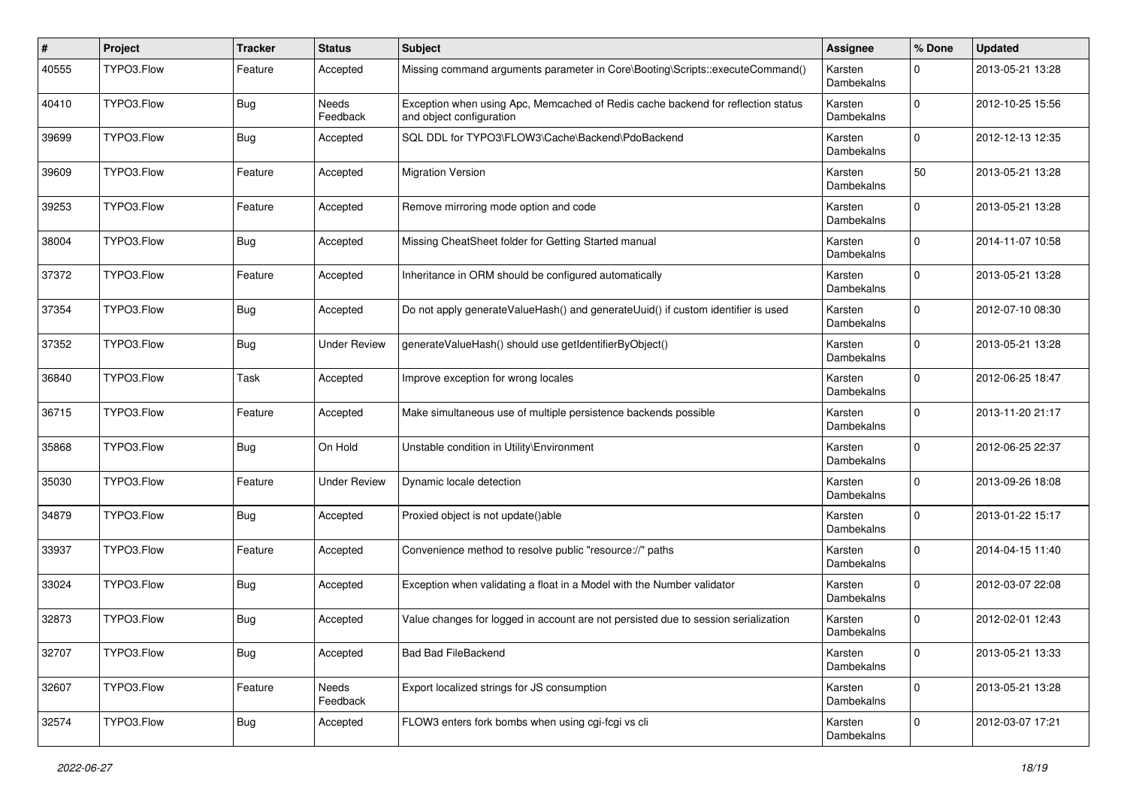| ∦     | Project    | <b>Tracker</b> | <b>Status</b>       | <b>Subject</b>                                                                                               | <b>Assignee</b>       | % Done       | <b>Updated</b>   |
|-------|------------|----------------|---------------------|--------------------------------------------------------------------------------------------------------------|-----------------------|--------------|------------------|
| 40555 | TYPO3.Flow | Feature        | Accepted            | Missing command arguments parameter in Core\Booting\Scripts::executeCommand()                                | Karsten<br>Dambekalns | 0            | 2013-05-21 13:28 |
| 40410 | TYPO3.Flow | <b>Bug</b>     | Needs<br>Feedback   | Exception when using Apc, Memcached of Redis cache backend for reflection status<br>and object configuration | Karsten<br>Dambekalns | $\Omega$     | 2012-10-25 15:56 |
| 39699 | TYPO3.Flow | Bug            | Accepted            | SQL DDL for TYPO3\FLOW3\Cache\Backend\PdoBackend                                                             | Karsten<br>Dambekalns | $\mathbf 0$  | 2012-12-13 12:35 |
| 39609 | TYPO3.Flow | Feature        | Accepted            | <b>Migration Version</b>                                                                                     | Karsten<br>Dambekalns | 50           | 2013-05-21 13:28 |
| 39253 | TYPO3.Flow | Feature        | Accepted            | Remove mirroring mode option and code                                                                        | Karsten<br>Dambekalns | 0            | 2013-05-21 13:28 |
| 38004 | TYPO3.Flow | <b>Bug</b>     | Accepted            | Missing CheatSheet folder for Getting Started manual                                                         | Karsten<br>Dambekalns | $\Omega$     | 2014-11-07 10:58 |
| 37372 | TYPO3.Flow | Feature        | Accepted            | Inheritance in ORM should be configured automatically                                                        | Karsten<br>Dambekalns | $\Omega$     | 2013-05-21 13:28 |
| 37354 | TYPO3.Flow | Bug            | Accepted            | Do not apply generateValueHash() and generateUuid() if custom identifier is used                             | Karsten<br>Dambekalns | $\Omega$     | 2012-07-10 08:30 |
| 37352 | TYPO3.Flow | <b>Bug</b>     | <b>Under Review</b> | generateValueHash() should use getIdentifierByObject()                                                       | Karsten<br>Dambekalns | $\Omega$     | 2013-05-21 13:28 |
| 36840 | TYPO3.Flow | Task           | Accepted            | Improve exception for wrong locales                                                                          | Karsten<br>Dambekalns | $\Omega$     | 2012-06-25 18:47 |
| 36715 | TYPO3.Flow | Feature        | Accepted            | Make simultaneous use of multiple persistence backends possible                                              | Karsten<br>Dambekalns | $\Omega$     | 2013-11-20 21:17 |
| 35868 | TYPO3.Flow | Bug            | On Hold             | Unstable condition in Utility\Environment                                                                    | Karsten<br>Dambekalns | $\Omega$     | 2012-06-25 22:37 |
| 35030 | TYPO3.Flow | Feature        | <b>Under Review</b> | Dynamic locale detection                                                                                     | Karsten<br>Dambekalns | $\Omega$     | 2013-09-26 18:08 |
| 34879 | TYPO3.Flow | <b>Bug</b>     | Accepted            | Proxied object is not update()able                                                                           | Karsten<br>Dambekalns | $\Omega$     | 2013-01-22 15:17 |
| 33937 | TYPO3.Flow | Feature        | Accepted            | Convenience method to resolve public "resource://" paths                                                     | Karsten<br>Dambekalns | 0            | 2014-04-15 11:40 |
| 33024 | TYPO3.Flow | Bug            | Accepted            | Exception when validating a float in a Model with the Number validator                                       | Karsten<br>Dambekalns | $\mathbf 0$  | 2012-03-07 22:08 |
| 32873 | TYPO3.Flow | <b>Bug</b>     | Accepted            | Value changes for logged in account are not persisted due to session serialization                           | Karsten<br>Dambekalns | $\Omega$     | 2012-02-01 12:43 |
| 32707 | TYPO3.Flow | Bug            | Accepted            | Bad Bad FileBackend                                                                                          | Karsten<br>Dambekalns | $\mathbf{0}$ | 2013-05-21 13:33 |
| 32607 | TYPO3.Flow | Feature        | Needs<br>Feedback   | Export localized strings for JS consumption                                                                  | Karsten<br>Dambekalns | $\mathbf 0$  | 2013-05-21 13:28 |
| 32574 | TYPO3.Flow | Bug            | Accepted            | FLOW3 enters fork bombs when using cgi-fcgi vs cli                                                           | Karsten<br>Dambekalns | $\mathbf 0$  | 2012-03-07 17:21 |